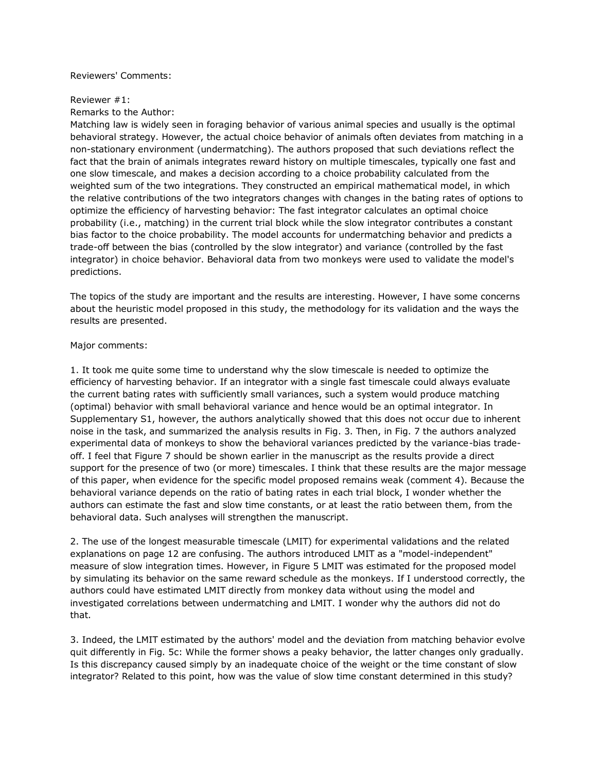#### Reviewers' Comments:

#### Reviewer #1:

Remarks to the Author:

Matching law is widely seen in foraging behavior of various animal species and usually is the optimal behavioral strategy. However, the actual choice behavior of animals often deviates from matching in a non-stationary environment (undermatching). The authors proposed that such deviations reflect the fact that the brain of animals integrates reward history on multiple timescales, typically one fast and one slow timescale, and makes a decision according to a choice probability calculated from the weighted sum of the two integrations. They constructed an empirical mathematical model, in which the relative contributions of the two integrators changes with changes in the bating rates of options to optimize the efficiency of harvesting behavior: The fast integrator calculates an optimal choice probability (i.e., matching) in the current trial block while the slow integrator contributes a constant bias factor to the choice probability. The model accounts for undermatching behavior and predicts a trade-off between the bias (controlled by the slow integrator) and variance (controlled by the fast integrator) in choice behavior. Behavioral data from two monkeys were used to validate the model's predictions.

The topics of the study are important and the results are interesting. However, I have some concerns about the heuristic model proposed in this study, the methodology for its validation and the ways the results are presented.

#### Major comments:

1. It took me quite some time to understand why the slow timescale is needed to optimize the efficiency of harvesting behavior. If an integrator with a single fast timescale could always evaluate the current bating rates with sufficiently small variances, such a system would produce matching (optimal) behavior with small behavioral variance and hence would be an optimal integrator. In Supplementary S1, however, the authors analytically showed that this does not occur due to inherent noise in the task, and summarized the analysis results in Fig. 3. Then, in Fig. 7 the authors analyzed experimental data of monkeys to show the behavioral variances predicted by the variance-bias tradeoff. I feel that Figure 7 should be shown earlier in the manuscript as the results provide a direct support for the presence of two (or more) timescales. I think that these results are the major message of this paper, when evidence for the specific model proposed remains weak (comment 4). Because the behavioral variance depends on the ratio of bating rates in each trial block, I wonder whether the authors can estimate the fast and slow time constants, or at least the ratio between them, from the behavioral data. Such analyses will strengthen the manuscript.

2. The use of the longest measurable timescale (LMIT) for experimental validations and the related explanations on page 12 are confusing. The authors introduced LMIT as a "model-independent" measure of slow integration times. However, in Figure 5 LMIT was estimated for the proposed model by simulating its behavior on the same reward schedule as the monkeys. If I understood correctly, the authors could have estimated LMIT directly from monkey data without using the model and investigated correlations between undermatching and LMIT. I wonder why the authors did not do that.

3. Indeed, the LMIT estimated by the authors' model and the deviation from matching behavior evolve quit differently in Fig. 5c: While the former shows a peaky behavior, the latter changes only gradually. Is this discrepancy caused simply by an inadequate choice of the weight or the time constant of slow integrator? Related to this point, how was the value of slow time constant determined in this study?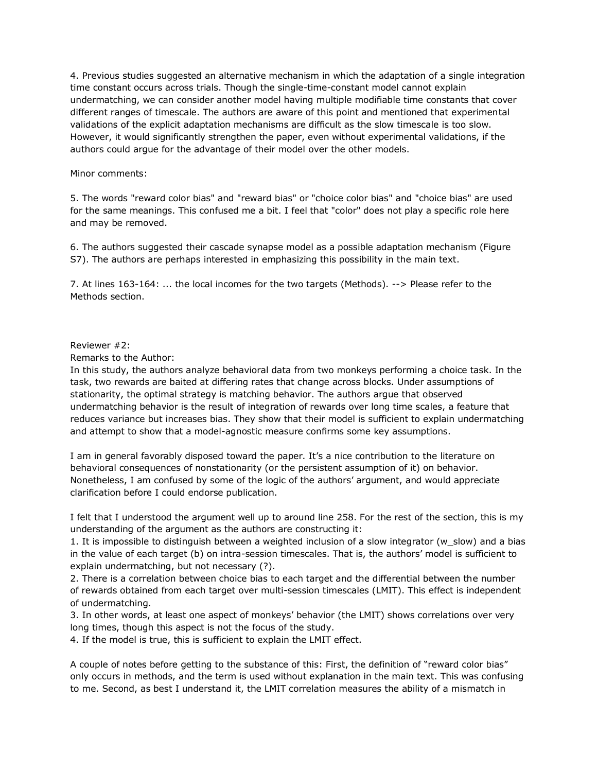4. Previous studies suggested an alternative mechanism in which the adaptation of a single integration time constant occurs across trials. Though the single-time-constant model cannot explain undermatching, we can consider another model having multiple modifiable time constants that cover different ranges of timescale. The authors are aware of this point and mentioned that experimental validations of the explicit adaptation mechanisms are difficult as the slow timescale is too slow. However, it would significantly strengthen the paper, even without experimental validations, if the authors could argue for the advantage of their model over the other models.

#### Minor comments:

5. The words "reward color bias" and "reward bias" or "choice color bias" and "choice bias" are used for the same meanings. This confused me a bit. I feel that "color" does not play a specific role here and may be removed.

6. The authors suggested their cascade synapse model as a possible adaptation mechanism (Figure S7). The authors are perhaps interested in emphasizing this possibility in the main text.

7. At lines 163-164: ... the local incomes for the two targets (Methods). --> Please refer to the Methods section.

#### Reviewer #2:

Remarks to the Author:

In this study, the authors analyze behavioral data from two monkeys performing a choice task. In the task, two rewards are baited at differing rates that change across blocks. Under assumptions of stationarity, the optimal strategy is matching behavior. The authors argue that observed undermatching behavior is the result of integration of rewards over long time scales, a feature that reduces variance but increases bias. They show that their model is sufficient to explain undermatching and attempt to show that a model-agnostic measure confirms some key assumptions.

I am in general favorably disposed toward the paper. It's a nice contribution to the literature on behavioral consequences of nonstationarity (or the persistent assumption of it) on behavior. Nonetheless, I am confused by some of the logic of the authors' argument, and would appreciate clarification before I could endorse publication.

I felt that I understood the argument well up to around line 258. For the rest of the section, this is my understanding of the argument as the authors are constructing it:

1. It is impossible to distinguish between a weighted inclusion of a slow integrator (w\_slow) and a bias in the value of each target (b) on intra-session timescales. That is, the authors' model is sufficient to explain undermatching, but not necessary (?).

2. There is a correlation between choice bias to each target and the differential between the number of rewards obtained from each target over multi-session timescales (LMIT). This effect is independent of undermatching.

3. In other words, at least one aspect of monkeys' behavior (the LMIT) shows correlations over very long times, though this aspect is not the focus of the study.

4. If the model is true, this is sufficient to explain the LMIT effect.

A couple of notes before getting to the substance of this: First, the definition of "reward color bias" only occurs in methods, and the term is used without explanation in the main text. This was confusing to me. Second, as best I understand it, the LMIT correlation measures the ability of a mismatch in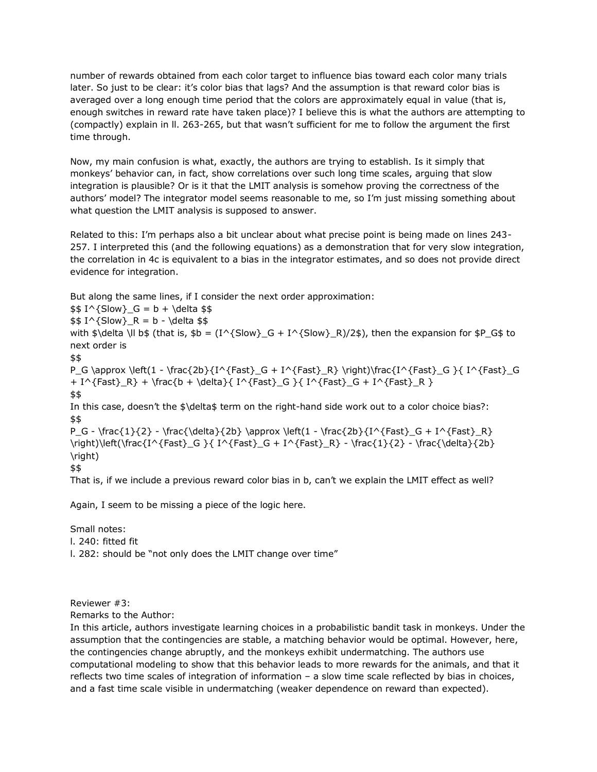number of rewards obtained from each color target to influence bias toward each color many trials later. So just to be clear: it's color bias that lags? And the assumption is that reward color bias is averaged over a long enough time period that the colors are approximately equal in value (that is, enough switches in reward rate have taken place)? I believe this is what the authors are attempting to (compactly) explain in ll. 263-265, but that wasn't sufficient for me to follow the argument the first time through.

Now, my main confusion is what, exactly, the authors are trying to establish. Is it simply that monkeys' behavior can, in fact, show correlations over such long time scales, arguing that slow integration is plausible? Or is it that the LMIT analysis is somehow proving the correctness of the authors' model? The integrator model seems reasonable to me, so I'm just missing something about what question the LMIT analysis is supposed to answer.

Related to this: I'm perhaps also a bit unclear about what precise point is being made on lines 243- 257. I interpreted this (and the following equations) as a demonstration that for very slow integration, the correlation in 4c is equivalent to a bias in the integrator estimates, and so does not provide direct evidence for integration.

But along the same lines, if I consider the next order approximation:

 $$1^{\text{Slow}}_G = b + \delta $$  $$1^{\text{Slow}}_R = b - \delta $$ with  $\delta$  delta \ll b\$ (that is,  $\delta b = (I^{\delta}Slow)_{G} + I^{\delta}Slow$ } (Slow}\_R)/2\$), then the expansion for  $\delta P_G\$  to next order is \$\$ P\_G \approx \left(1 - \frac{2b}{I^{Fast}\_G + I^{Fast}\_R} \right)\frac{I^{Fast}\_G }{ I^{Fast}\_G + I^{Fast}\_R} + \frac{b + \delta}{ I^{Fast}\_G }{ I^{Fast}\_G + I^{Fast}\_R } \$\$ In this case, doesn't the \$\delta\$ term on the right-hand side work out to a color choice bias?: \$\$  $P_G - \frac{1}{2} - \frac{\delta}{2b} \approx \left(1 - \frac{2b}{\Gamma\frac{Fast}{G} - R} \right)$ \right)\left(\frac{I^{Fast}\_G }{ I^{Fast}\_G + I^{Fast}\_R} - \frac{1}{2} - \frac{\delta}{2b} \right) \$\$

That is, if we include a previous reward color bias in b, can't we explain the LMIT effect as well?

Again, I seem to be missing a piece of the logic here.

Small notes:

l. 240: fitted fit

l. 282: should be "not only does the LMIT change over time"

Reviewer #3:

Remarks to the Author:

In this article, authors investigate learning choices in a probabilistic bandit task in monkeys. Under the assumption that the contingencies are stable, a matching behavior would be optimal. However, here, the contingencies change abruptly, and the monkeys exhibit undermatching. The authors use computational modeling to show that this behavior leads to more rewards for the animals, and that it reflects two time scales of integration of information – a slow time scale reflected by bias in choices, and a fast time scale visible in undermatching (weaker dependence on reward than expected).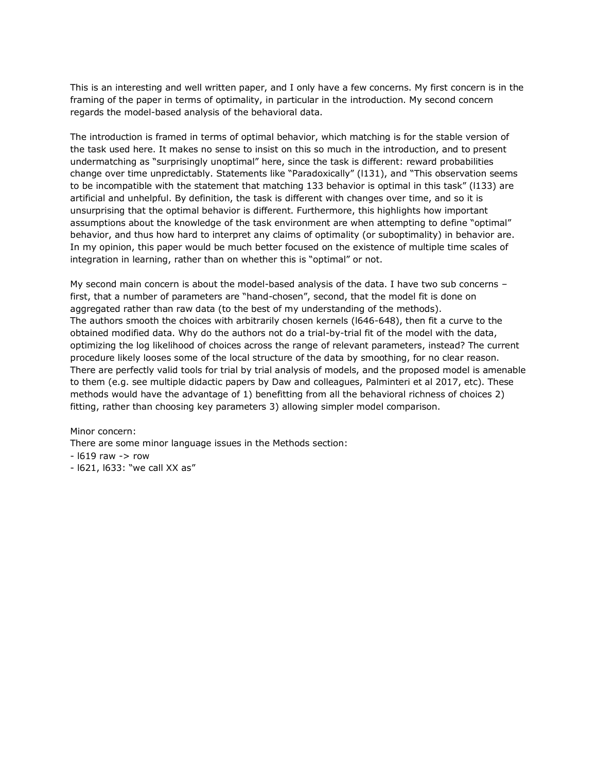This is an interesting and well written paper, and I only have a few concerns. My first concern is in the framing of the paper in terms of optimality, in particular in the introduction. My second concern regards the model-based analysis of the behavioral data.

The introduction is framed in terms of optimal behavior, which matching is for the stable version of the task used here. It makes no sense to insist on this so much in the introduction, and to present undermatching as "surprisingly unoptimal" here, since the task is different: reward probabilities change over time unpredictably. Statements like "Paradoxically" (l131), and "This observation seems to be incompatible with the statement that matching 133 behavior is optimal in this task" (I133) are artificial and unhelpful. By definition, the task is different with changes over time, and so it is unsurprising that the optimal behavior is different. Furthermore, this highlights how important assumptions about the knowledge of the task environment are when attempting to define "optimal" behavior, and thus how hard to interpret any claims of optimality (or suboptimality) in behavior are. In my opinion, this paper would be much better focused on the existence of multiple time scales of integration in learning, rather than on whether this is "optimal" or not.

My second main concern is about the model-based analysis of the data. I have two sub concerns – first, that a number of parameters are "hand-chosen", second, that the model fit is done on aggregated rather than raw data (to the best of my understanding of the methods). The authors smooth the choices with arbitrarily chosen kernels (l646-648), then fit a curve to the obtained modified data. Why do the authors not do a trial-by-trial fit of the model with the data, optimizing the log likelihood of choices across the range of relevant parameters, instead? The current procedure likely looses some of the local structure of the data by smoothing, for no clear reason. There are perfectly valid tools for trial by trial analysis of models, and the proposed model is amenable to them (e.g. see multiple didactic papers by Daw and colleagues, Palminteri et al 2017, etc). These methods would have the advantage of 1) benefitting from all the behavioral richness of choices 2) fitting, rather than choosing key parameters 3) allowing simpler model comparison.

Minor concern:

There are some minor language issues in the Methods section:

 $-1619$  raw  $-$  row

- l621, l633: "we call XX as"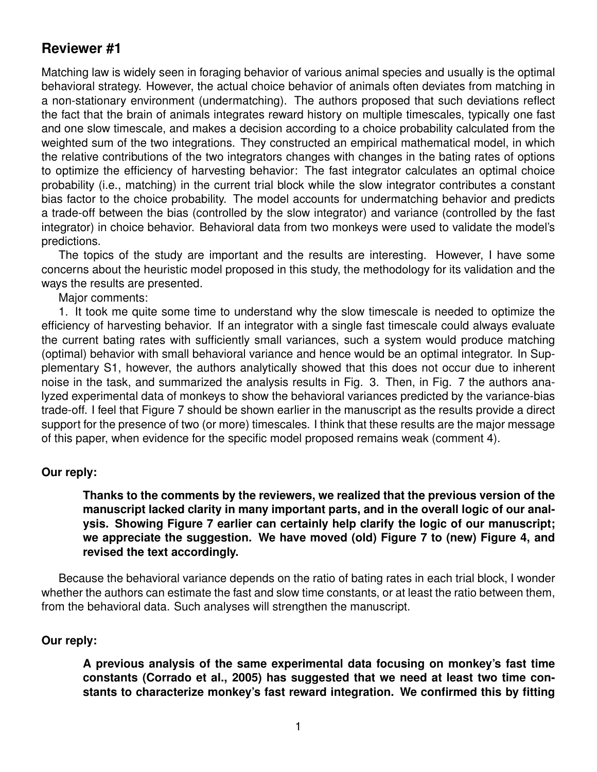# **Reviewer #1**

Matching law is widely seen in foraging behavior of various animal species and usually is the optimal behavioral strategy. However, the actual choice behavior of animals often deviates from matching in a non-stationary environment (undermatching). The authors proposed that such deviations reflect the fact that the brain of animals integrates reward history on multiple timescales, typically one fast and one slow timescale, and makes a decision according to a choice probability calculated from the weighted sum of the two integrations. They constructed an empirical mathematical model, in which the relative contributions of the two integrators changes with changes in the bating rates of options to optimize the efficiency of harvesting behavior: The fast integrator calculates an optimal choice probability (i.e., matching) in the current trial block while the slow integrator contributes a constant bias factor to the choice probability. The model accounts for undermatching behavior and predicts a trade-off between the bias (controlled by the slow integrator) and variance (controlled by the fast integrator) in choice behavior. Behavioral data from two monkeys were used to validate the model's predictions.

The topics of the study are important and the results are interesting. However, I have some concerns about the heuristic model proposed in this study, the methodology for its validation and the ways the results are presented.

Major comments:

1. It took me quite some time to understand why the slow timescale is needed to optimize the efficiency of harvesting behavior. If an integrator with a single fast timescale could always evaluate the current bating rates with sufficiently small variances, such a system would produce matching (optimal) behavior with small behavioral variance and hence would be an optimal integrator. In Supplementary S1, however, the authors analytically showed that this does not occur due to inherent noise in the task, and summarized the analysis results in Fig. 3. Then, in Fig. 7 the authors analyzed experimental data of monkeys to show the behavioral variances predicted by the variance-bias trade-off. I feel that Figure 7 should be shown earlier in the manuscript as the results provide a direct support for the presence of two (or more) timescales. I think that these results are the major message of this paper, when evidence for the specific model proposed remains weak (comment 4).

#### **Our reply:**

**Thanks to the comments by the reviewers, we realized that the previous version of the manuscript lacked clarity in many important parts, and in the overall logic of our analysis. Showing Figure 7 earlier can certainly help clarify the logic of our manuscript; we appreciate the suggestion. We have moved (old) Figure 7 to (new) Figure 4, and revised the text accordingly.**

Because the behavioral variance depends on the ratio of bating rates in each trial block, I wonder whether the authors can estimate the fast and slow time constants, or at least the ratio between them, from the behavioral data. Such analyses will strengthen the manuscript.

#### **Our reply:**

**A previous analysis of the same experimental data focusing on monkey's fast time constants (Corrado et al., 2005) has suggested that we need at least two time constants to characterize monkey's fast reward integration. We confirmed this by fitting**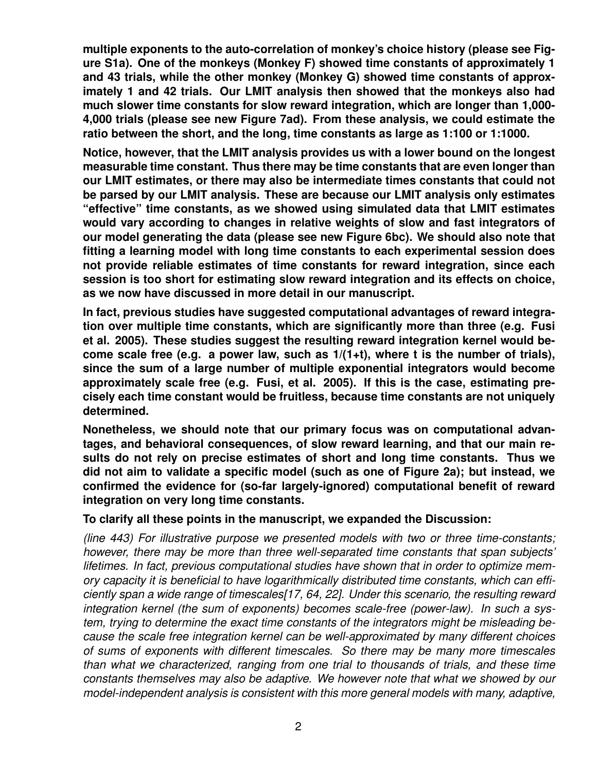**multiple exponents to the auto-correlation of monkey's choice history (please see Figure S1a). One of the monkeys (Monkey F) showed time constants of approximately 1 and 43 trials, while the other monkey (Monkey G) showed time constants of approximately 1 and 42 trials. Our LMIT analysis then showed that the monkeys also had much slower time constants for slow reward integration, which are longer than 1,000- 4,000 trials (please see new Figure 7ad). From these analysis, we could estimate the ratio between the short, and the long, time constants as large as 1:100 or 1:1000.**

**Notice, however, that the LMIT analysis provides us with a lower bound on the longest measurable time constant. Thus there may be time constants that are even longer than our LMIT estimates, or there may also be intermediate times constants that could not be parsed by our LMIT analysis. These are because our LMIT analysis only estimates "effective" time constants, as we showed using simulated data that LMIT estimates would vary according to changes in relative weights of slow and fast integrators of our model generating the data (please see new Figure 6bc). We should also note that fitting a learning model with long time constants to each experimental session does not provide reliable estimates of time constants for reward integration, since each session is too short for estimating slow reward integration and its effects on choice, as we now have discussed in more detail in our manuscript.**

**In fact, previous studies have suggested computational advantages of reward integration over multiple time constants, which are significantly more than three (e.g. Fusi et al. 2005). These studies suggest the resulting reward integration kernel would become scale free (e.g. a power law, such as 1/(1+t), where t is the number of trials), since the sum of a large number of multiple exponential integrators would become approximately scale free (e.g. Fusi, et al. 2005). If this is the case, estimating precisely each time constant would be fruitless, because time constants are not uniquely determined.**

**Nonetheless, we should note that our primary focus was on computational advantages, and behavioral consequences, of slow reward learning, and that our main results do not rely on precise estimates of short and long time constants. Thus we did not aim to validate a specific model (such as one of Figure 2a); but instead, we confirmed the evidence for (so-far largely-ignored) computational benefit of reward integration on very long time constants.**

#### **To clarify all these points in the manuscript, we expanded the Discussion:**

*(line 443) For illustrative purpose we presented models with two or three time-constants; however, there may be more than three well-separated time constants that span subjects' lifetimes. In fact, previous computational studies have shown that in order to optimize memory capacity it is beneficial to have logarithmically distributed time constants, which can efficiently span a wide range of timescales[17, 64, 22]. Under this scenario, the resulting reward integration kernel (the sum of exponents) becomes scale-free (power-law). In such a system, trying to determine the exact time constants of the integrators might be misleading because the scale free integration kernel can be well-approximated by many different choices of sums of exponents with different timescales. So there may be many more timescales than what we characterized, ranging from one trial to thousands of trials, and these time constants themselves may also be adaptive. We however note that what we showed by our model-independent analysis is consistent with this more general models with many, adaptive,*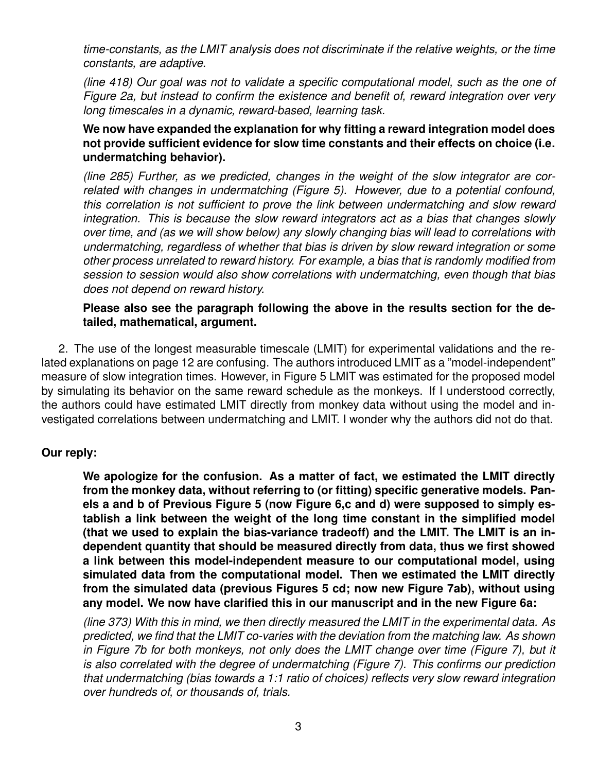*time-constants, as the LMIT analysis does not discriminate if the relative weights, or the time constants, are adaptive.*

*(line 418) Our goal was not to validate a specific computational model, such as the one of Figure 2a, but instead to confirm the existence and benefit of, reward integration over very long timescales in a dynamic, reward-based, learning task.*

## **We now have expanded the explanation for why fitting a reward integration model does not provide sufficient evidence for slow time constants and their effects on choice (i.e. undermatching behavior).**

*(line 285) Further, as we predicted, changes in the weight of the slow integrator are correlated with changes in undermatching (Figure 5). However, due to a potential confound, this correlation is not sufficient to prove the link between undermatching and slow reward integration. This is because the slow reward integrators act as a bias that changes slowly over time, and (as we will show below) any slowly changing bias will lead to correlations with undermatching, regardless of whether that bias is driven by slow reward integration or some other process unrelated to reward history. For example, a bias that is randomly modified from session to session would also show correlations with undermatching, even though that bias does not depend on reward history.*

#### **Please also see the paragraph following the above in the results section for the detailed, mathematical, argument.**

2. The use of the longest measurable timescale (LMIT) for experimental validations and the related explanations on page 12 are confusing. The authors introduced LMIT as a "model-independent" measure of slow integration times. However, in Figure 5 LMIT was estimated for the proposed model by simulating its behavior on the same reward schedule as the monkeys. If I understood correctly, the authors could have estimated LMIT directly from monkey data without using the model and investigated correlations between undermatching and LMIT. I wonder why the authors did not do that.

# **Our reply:**

**We apologize for the confusion. As a matter of fact, we estimated the LMIT directly from the monkey data, without referring to (or fitting) specific generative models. Panels a and b of Previous Figure 5 (now Figure 6,c and d) were supposed to simply establish a link between the weight of the long time constant in the simplified model (that we used to explain the bias-variance tradeoff) and the LMIT. The LMIT is an independent quantity that should be measured directly from data, thus we first showed a link between this model-independent measure to our computational model, using simulated data from the computational model. Then we estimated the LMIT directly from the simulated data (previous Figures 5 cd; now new Figure 7ab), without using any model. We now have clarified this in our manuscript and in the new Figure 6a:**

*(line 373) With this in mind, we then directly measured the LMIT in the experimental data. As predicted, we find that the LMIT co-varies with the deviation from the matching law. As shown in Figure 7b for both monkeys, not only does the LMIT change over time (Figure 7), but it is also correlated with the degree of undermatching (Figure 7). This confirms our prediction that undermatching (bias towards a 1:1 ratio of choices) reflects very slow reward integration over hundreds of, or thousands of, trials.*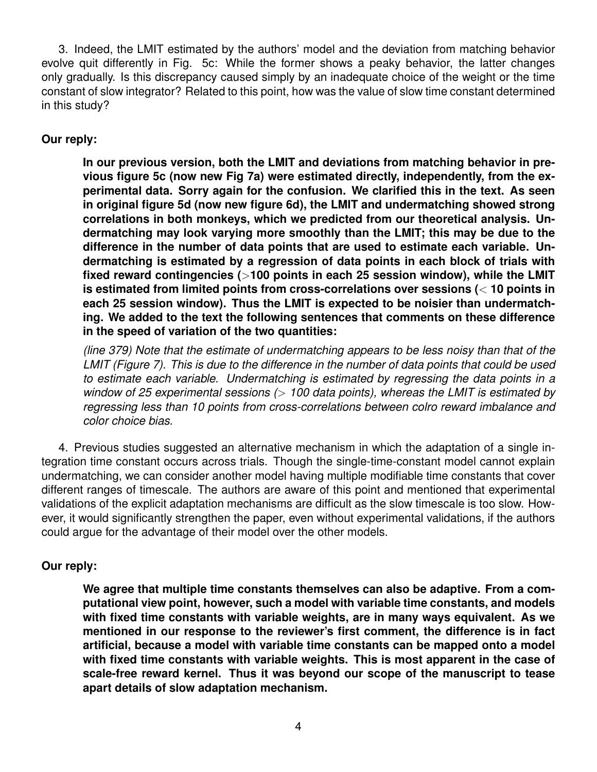3. Indeed, the LMIT estimated by the authors' model and the deviation from matching behavior evolve quit differently in Fig. 5c: While the former shows a peaky behavior, the latter changes only gradually. Is this discrepancy caused simply by an inadequate choice of the weight or the time constant of slow integrator? Related to this point, how was the value of slow time constant determined in this study?

# **Our reply:**

**In our previous version, both the LMIT and deviations from matching behavior in previous figure 5c (now new Fig 7a) were estimated directly, independently, from the experimental data. Sorry again for the confusion. We clarified this in the text. As seen in original figure 5d (now new figure 6d), the LMIT and undermatching showed strong correlations in both monkeys, which we predicted from our theoretical analysis. Undermatching may look varying more smoothly than the LMIT; this may be due to the difference in the number of data points that are used to estimate each variable. Undermatching is estimated by a regression of data points in each block of trials with fixed reward contingencies (**>**100 points in each 25 session window), while the LMIT is estimated from limited points from cross-correlations over sessions (**< **10 points in each 25 session window). Thus the LMIT is expected to be noisier than undermatching. We added to the text the following sentences that comments on these difference in the speed of variation of the two quantities:**

*(line 379) Note that the estimate of undermatching appears to be less noisy than that of the LMIT (Figure 7). This is due to the difference in the number of data points that could be used to estimate each variable. Undermatching is estimated by regressing the data points in a window of 25 experimental sessions (*> *100 data points), whereas the LMIT is estimated by regressing less than 10 points from cross-correlations between colro reward imbalance and color choice bias.*

4. Previous studies suggested an alternative mechanism in which the adaptation of a single integration time constant occurs across trials. Though the single-time-constant model cannot explain undermatching, we can consider another model having multiple modifiable time constants that cover different ranges of timescale. The authors are aware of this point and mentioned that experimental validations of the explicit adaptation mechanisms are difficult as the slow timescale is too slow. However, it would significantly strengthen the paper, even without experimental validations, if the authors could argue for the advantage of their model over the other models.

# **Our reply:**

**We agree that multiple time constants themselves can also be adaptive. From a computational view point, however, such a model with variable time constants, and models with fixed time constants with variable weights, are in many ways equivalent. As we mentioned in our response to the reviewer's first comment, the difference is in fact artificial, because a model with variable time constants can be mapped onto a model with fixed time constants with variable weights. This is most apparent in the case of scale-free reward kernel. Thus it was beyond our scope of the manuscript to tease apart details of slow adaptation mechanism.**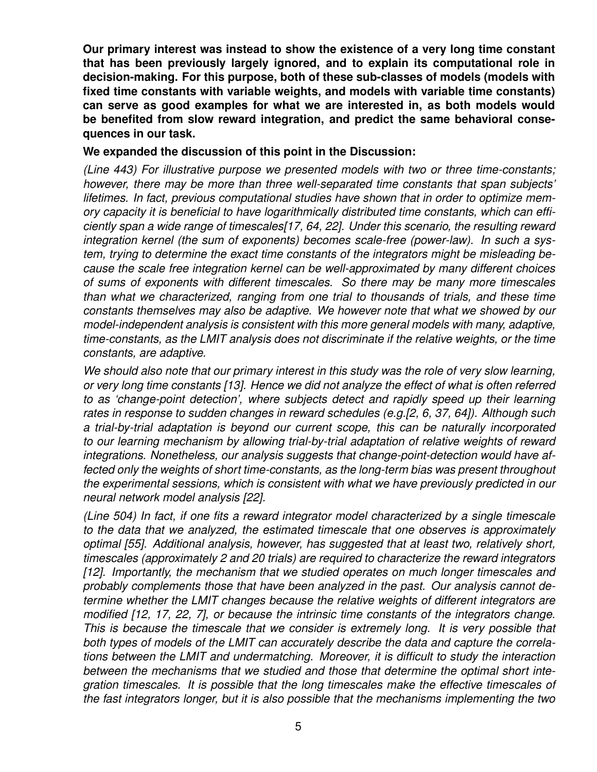**Our primary interest was instead to show the existence of a very long time constant that has been previously largely ignored, and to explain its computational role in decision-making. For this purpose, both of these sub-classes of models (models with fixed time constants with variable weights, and models with variable time constants) can serve as good examples for what we are interested in, as both models would be benefited from slow reward integration, and predict the same behavioral consequences in our task.**

#### **We expanded the discussion of this point in the Discussion:**

*(Line 443) For illustrative purpose we presented models with two or three time-constants; however, there may be more than three well-separated time constants that span subjects' lifetimes. In fact, previous computational studies have shown that in order to optimize memory capacity it is beneficial to have logarithmically distributed time constants, which can efficiently span a wide range of timescales[17, 64, 22]. Under this scenario, the resulting reward integration kernel (the sum of exponents) becomes scale-free (power-law). In such a system, trying to determine the exact time constants of the integrators might be misleading because the scale free integration kernel can be well-approximated by many different choices of sums of exponents with different timescales. So there may be many more timescales than what we characterized, ranging from one trial to thousands of trials, and these time constants themselves may also be adaptive. We however note that what we showed by our model-independent analysis is consistent with this more general models with many, adaptive, time-constants, as the LMIT analysis does not discriminate if the relative weights, or the time constants, are adaptive.*

*We should also note that our primary interest in this study was the role of very slow learning, or very long time constants [13]. Hence we did not analyze the effect of what is often referred to as 'change-point detection', where subjects detect and rapidly speed up their learning rates in response to sudden changes in reward schedules (e.g.[2, 6, 37, 64]). Although such a trial-by-trial adaptation is beyond our current scope, this can be naturally incorporated to our learning mechanism by allowing trial-by-trial adaptation of relative weights of reward integrations. Nonetheless, our analysis suggests that change-point-detection would have affected only the weights of short time-constants, as the long-term bias was present throughout the experimental sessions, which is consistent with what we have previously predicted in our neural network model analysis [22].*

*(Line 504) In fact, if one fits a reward integrator model characterized by a single timescale to the data that we analyzed, the estimated timescale that one observes is approximately optimal [55]. Additional analysis, however, has suggested that at least two, relatively short, timescales (approximately 2 and 20 trials) are required to characterize the reward integrators [12]. Importantly, the mechanism that we studied operates on much longer timescales and probably complements those that have been analyzed in the past. Our analysis cannot determine whether the LMIT changes because the relative weights of different integrators are modified [12, 17, 22, 7], or because the intrinsic time constants of the integrators change. This is because the timescale that we consider is extremely long. It is very possible that both types of models of the LMIT can accurately describe the data and capture the correlations between the LMIT and undermatching. Moreover, it is difficult to study the interaction between the mechanisms that we studied and those that determine the optimal short integration timescales. It is possible that the long timescales make the effective timescales of the fast integrators longer, but it is also possible that the mechanisms implementing the two*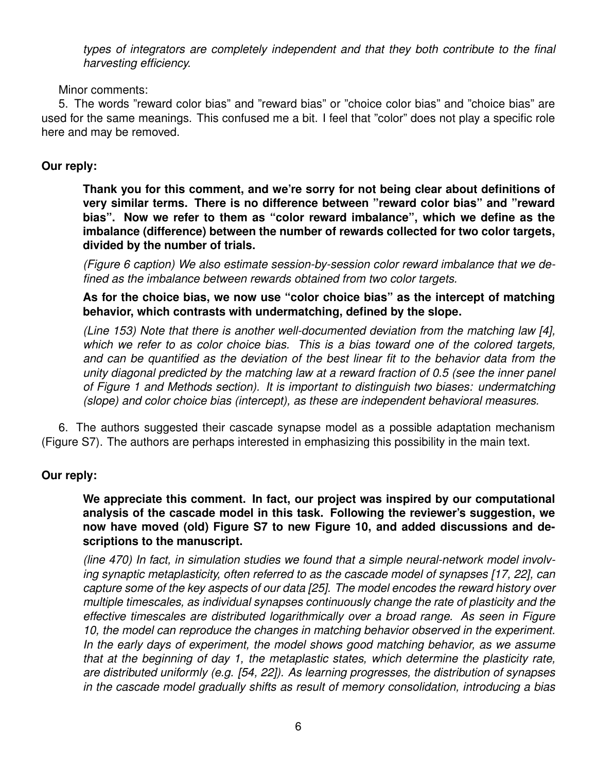*types of integrators are completely independent and that they both contribute to the final harvesting efficiency.*

#### Minor comments:

5. The words "reward color bias" and "reward bias" or "choice color bias" and "choice bias" are used for the same meanings. This confused me a bit. I feel that "color" does not play a specific role here and may be removed.

## **Our reply:**

**Thank you for this comment, and we're sorry for not being clear about definitions of very similar terms. There is no difference between "reward color bias" and "reward bias". Now we refer to them as "color reward imbalance", which we define as the imbalance (difference) between the number of rewards collected for two color targets, divided by the number of trials.**

*(Figure 6 caption) We also estimate session-by-session color reward imbalance that we defined as the imbalance between rewards obtained from two color targets.*

**As for the choice bias, we now use "color choice bias" as the intercept of matching behavior, which contrasts with undermatching, defined by the slope.**

*(Line 153) Note that there is another well-documented deviation from the matching law [4], which we refer to as color choice bias. This is a bias toward one of the colored targets, and can be quantified as the deviation of the best linear fit to the behavior data from the unity diagonal predicted by the matching law at a reward fraction of 0.5 (see the inner panel of Figure 1 and Methods section). It is important to distinguish two biases: undermatching (slope) and color choice bias (intercept), as these are independent behavioral measures.*

6. The authors suggested their cascade synapse model as a possible adaptation mechanism (Figure S7). The authors are perhaps interested in emphasizing this possibility in the main text.

# **Our reply:**

**We appreciate this comment. In fact, our project was inspired by our computational analysis of the cascade model in this task. Following the reviewer's suggestion, we now have moved (old) Figure S7 to new Figure 10, and added discussions and descriptions to the manuscript.**

*(line 470) In fact, in simulation studies we found that a simple neural-network model involving synaptic metaplasticity, often referred to as the cascade model of synapses [17, 22], can capture some of the key aspects of our data [25]. The model encodes the reward history over multiple timescales, as individual synapses continuously change the rate of plasticity and the effective timescales are distributed logarithmically over a broad range. As seen in Figure 10, the model can reproduce the changes in matching behavior observed in the experiment. In the early days of experiment, the model shows good matching behavior, as we assume that at the beginning of day 1, the metaplastic states, which determine the plasticity rate, are distributed uniformly (e.g. [54, 22]). As learning progresses, the distribution of synapses in the cascade model gradually shifts as result of memory consolidation, introducing a bias*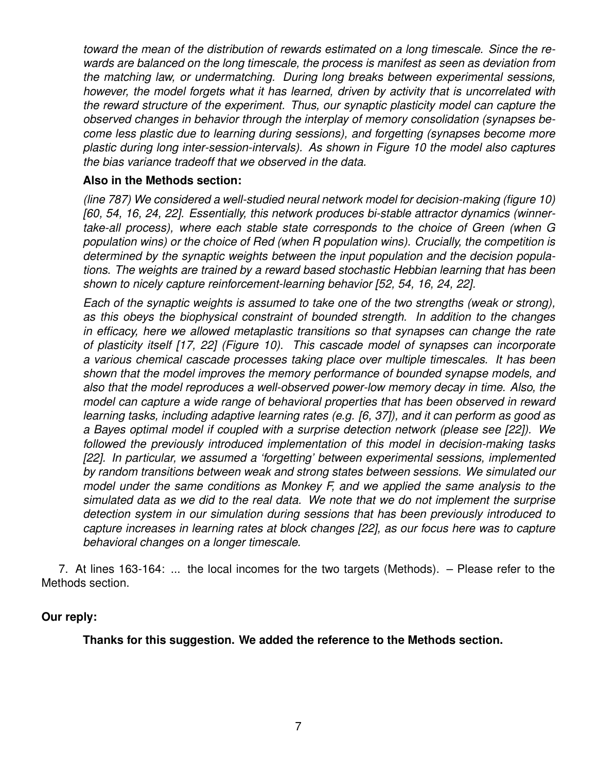*toward the mean of the distribution of rewards estimated on a long timescale. Since the rewards are balanced on the long timescale, the process is manifest as seen as deviation from the matching law, or undermatching. During long breaks between experimental sessions, however, the model forgets what it has learned, driven by activity that is uncorrelated with the reward structure of the experiment. Thus, our synaptic plasticity model can capture the observed changes in behavior through the interplay of memory consolidation (synapses become less plastic due to learning during sessions), and forgetting (synapses become more plastic during long inter-session-intervals). As shown in Figure 10 the model also captures the bias variance tradeoff that we observed in the data.*

# **Also in the Methods section:**

*(line 787) We considered a well-studied neural network model for decision-making (figure 10) [60, 54, 16, 24, 22]. Essentially, this network produces bi-stable attractor dynamics (winnertake-all process), where each stable state corresponds to the choice of Green (when G population wins) or the choice of Red (when R population wins). Crucially, the competition is determined by the synaptic weights between the input population and the decision populations. The weights are trained by a reward based stochastic Hebbian learning that has been shown to nicely capture reinforcement-learning behavior [52, 54, 16, 24, 22].*

*Each of the synaptic weights is assumed to take one of the two strengths (weak or strong), as this obeys the biophysical constraint of bounded strength. In addition to the changes in efficacy, here we allowed metaplastic transitions so that synapses can change the rate of plasticity itself [17, 22] (Figure 10). This cascade model of synapses can incorporate a various chemical cascade processes taking place over multiple timescales. It has been shown that the model improves the memory performance of bounded synapse models, and also that the model reproduces a well-observed power-low memory decay in time. Also, the model can capture a wide range of behavioral properties that has been observed in reward learning tasks, including adaptive learning rates (e.g. [6, 37]), and it can perform as good as a Bayes optimal model if coupled with a surprise detection network (please see [22]). We followed the previously introduced implementation of this model in decision-making tasks [22]. In particular, we assumed a 'forgetting' between experimental sessions, implemented by random transitions between weak and strong states between sessions. We simulated our model under the same conditions as Monkey F, and we applied the same analysis to the simulated data as we did to the real data. We note that we do not implement the surprise detection system in our simulation during sessions that has been previously introduced to capture increases in learning rates at block changes [22], as our focus here was to capture behavioral changes on a longer timescale.*

7. At lines 163-164: ... the local incomes for the two targets (Methods). – Please refer to the Methods section.

#### **Our reply:**

**Thanks for this suggestion. We added the reference to the Methods section.**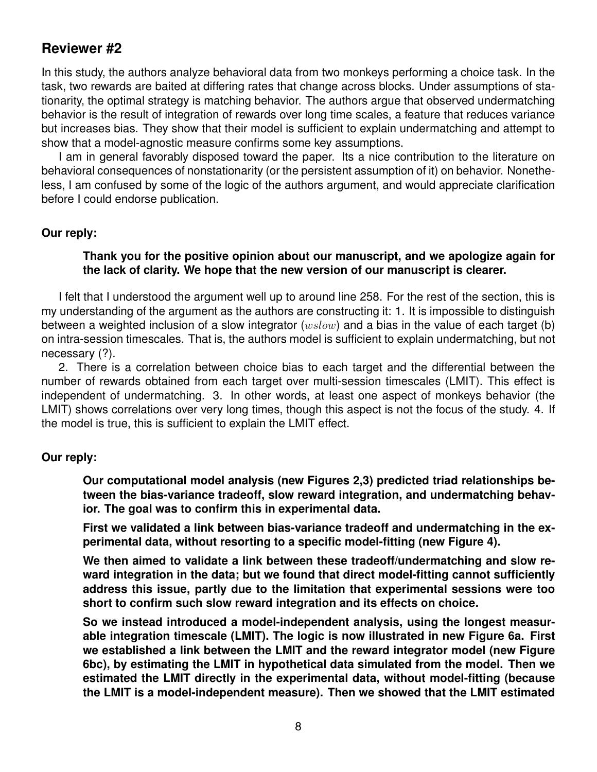# **Reviewer #2**

In this study, the authors analyze behavioral data from two monkeys performing a choice task. In the task, two rewards are baited at differing rates that change across blocks. Under assumptions of stationarity, the optimal strategy is matching behavior. The authors argue that observed undermatching behavior is the result of integration of rewards over long time scales, a feature that reduces variance but increases bias. They show that their model is sufficient to explain undermatching and attempt to show that a model-agnostic measure confirms some key assumptions.

I am in general favorably disposed toward the paper. Its a nice contribution to the literature on behavioral consequences of nonstationarity (or the persistent assumption of it) on behavior. Nonetheless, I am confused by some of the logic of the authors argument, and would appreciate clarification before I could endorse publication.

#### **Our reply:**

#### **Thank you for the positive opinion about our manuscript, and we apologize again for the lack of clarity. We hope that the new version of our manuscript is clearer.**

I felt that I understood the argument well up to around line 258. For the rest of the section, this is my understanding of the argument as the authors are constructing it: 1. It is impossible to distinguish between a weighted inclusion of a slow integrator ( $wslow$ ) and a bias in the value of each target (b) on intra-session timescales. That is, the authors model is sufficient to explain undermatching, but not necessary (?).

2. There is a correlation between choice bias to each target and the differential between the number of rewards obtained from each target over multi-session timescales (LMIT). This effect is independent of undermatching. 3. In other words, at least one aspect of monkeys behavior (the LMIT) shows correlations over very long times, though this aspect is not the focus of the study. 4. If the model is true, this is sufficient to explain the LMIT effect.

#### **Our reply:**

**Our computational model analysis (new Figures 2,3) predicted triad relationships between the bias-variance tradeoff, slow reward integration, and undermatching behavior. The goal was to confirm this in experimental data.**

**First we validated a link between bias-variance tradeoff and undermatching in the experimental data, without resorting to a specific model-fitting (new Figure 4).**

**We then aimed to validate a link between these tradeoff/undermatching and slow reward integration in the data; but we found that direct model-fitting cannot sufficiently address this issue, partly due to the limitation that experimental sessions were too short to confirm such slow reward integration and its effects on choice.**

**So we instead introduced a model-independent analysis, using the longest measurable integration timescale (LMIT). The logic is now illustrated in new Figure 6a. First we established a link between the LMIT and the reward integrator model (new Figure 6bc), by estimating the LMIT in hypothetical data simulated from the model. Then we estimated the LMIT directly in the experimental data, without model-fitting (because the LMIT is a model-independent measure). Then we showed that the LMIT estimated**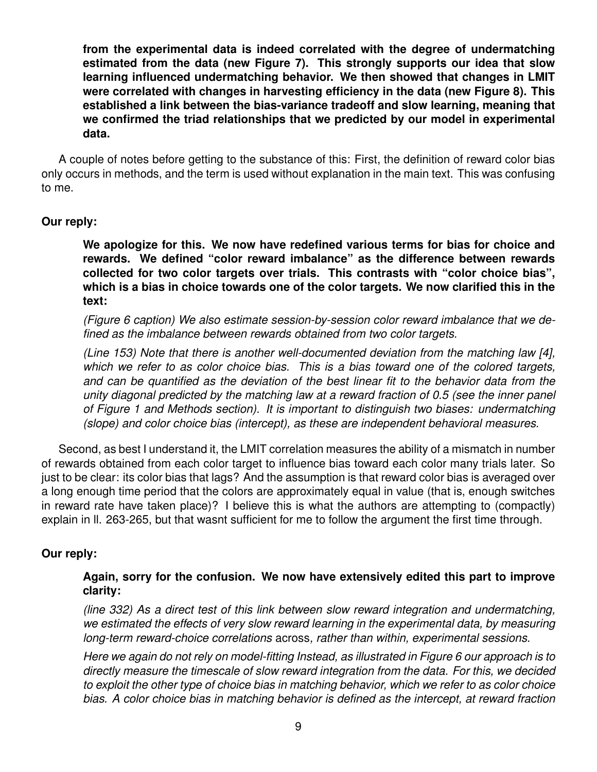**from the experimental data is indeed correlated with the degree of undermatching estimated from the data (new Figure 7). This strongly supports our idea that slow learning influenced undermatching behavior. We then showed that changes in LMIT were correlated with changes in harvesting efficiency in the data (new Figure 8). This established a link between the bias-variance tradeoff and slow learning, meaning that we confirmed the triad relationships that we predicted by our model in experimental data.**

A couple of notes before getting to the substance of this: First, the definition of reward color bias only occurs in methods, and the term is used without explanation in the main text. This was confusing to me.

#### **Our reply:**

**We apologize for this. We now have redefined various terms for bias for choice and rewards. We defined "color reward imbalance" as the difference between rewards collected for two color targets over trials. This contrasts with "color choice bias", which is a bias in choice towards one of the color targets. We now clarified this in the text:**

*(Figure 6 caption) We also estimate session-by-session color reward imbalance that we defined as the imbalance between rewards obtained from two color targets.*

*(Line 153) Note that there is another well-documented deviation from the matching law [4], which we refer to as color choice bias. This is a bias toward one of the colored targets, and can be quantified as the deviation of the best linear fit to the behavior data from the unity diagonal predicted by the matching law at a reward fraction of 0.5 (see the inner panel of Figure 1 and Methods section). It is important to distinguish two biases: undermatching (slope) and color choice bias (intercept), as these are independent behavioral measures.*

Second, as best I understand it, the LMIT correlation measures the ability of a mismatch in number of rewards obtained from each color target to influence bias toward each color many trials later. So just to be clear: its color bias that lags? And the assumption is that reward color bias is averaged over a long enough time period that the colors are approximately equal in value (that is, enough switches in reward rate have taken place)? I believe this is what the authors are attempting to (compactly) explain in ll. 263-265, but that wasnt sufficient for me to follow the argument the first time through.

#### **Our reply:**

## **Again, sorry for the confusion. We now have extensively edited this part to improve clarity:**

*(line 332) As a direct test of this link between slow reward integration and undermatching, we estimated the effects of very slow reward learning in the experimental data, by measuring long-term reward-choice correlations* across*, rather than within, experimental sessions.*

*Here we again do not rely on model-fitting Instead, as illustrated in Figure 6 our approach is to directly measure the timescale of slow reward integration from the data. For this, we decided to exploit the other type of choice bias in matching behavior, which we refer to as color choice bias. A color choice bias in matching behavior is defined as the intercept, at reward fraction*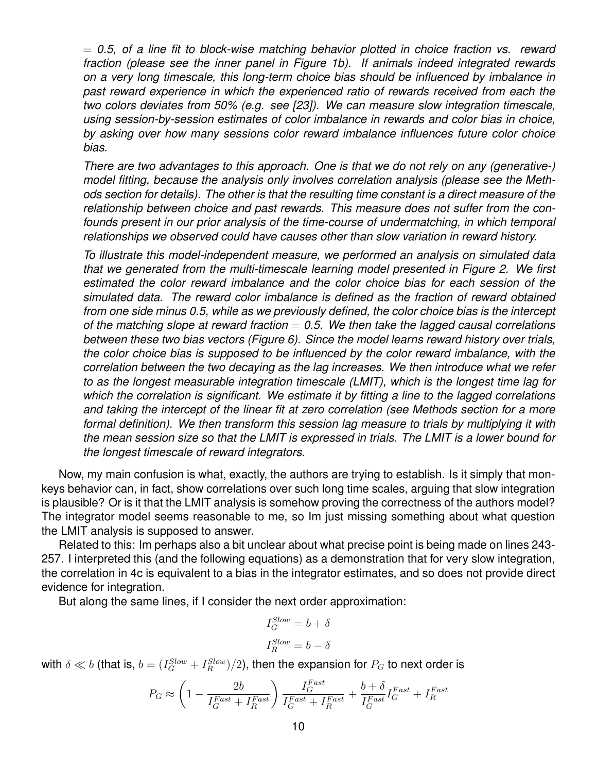= *0.5, of a line fit to block-wise matching behavior plotted in choice fraction vs. reward fraction (please see the inner panel in Figure 1b). If animals indeed integrated rewards on a very long timescale, this long-term choice bias should be influenced by imbalance in past reward experience in which the experienced ratio of rewards received from each the two colors deviates from 50% (e.g. see [23]). We can measure slow integration timescale, using session-by-session estimates of color imbalance in rewards and color bias in choice, by asking over how many sessions color reward imbalance influences future color choice bias.*

*There are two advantages to this approach. One is that we do not rely on any (generative-) model fitting, because the analysis only involves correlation analysis (please see the Methods section for details). The other is that the resulting time constant is a direct measure of the relationship between choice and past rewards. This measure does not suffer from the confounds present in our prior analysis of the time-course of undermatching, in which temporal relationships we observed could have causes other than slow variation in reward history.*

*To illustrate this model-independent measure, we performed an analysis on simulated data that we generated from the multi-timescale learning model presented in Figure 2. We first estimated the color reward imbalance and the color choice bias for each session of the simulated data. The reward color imbalance is defined as the fraction of reward obtained from one side minus 0.5, while as we previously defined, the color choice bias is the intercept of the matching slope at reward fraction* = *0.5. We then take the lagged causal correlations between these two bias vectors (Figure 6). Since the model learns reward history over trials, the color choice bias is supposed to be influenced by the color reward imbalance, with the correlation between the two decaying as the lag increases. We then introduce what we refer to as the longest measurable integration timescale (LMIT), which is the longest time lag for which the correlation is significant. We estimate it by fitting a line to the lagged correlations and taking the intercept of the linear fit at zero correlation (see Methods section for a more formal definition). We then transform this session lag measure to trials by multiplying it with the mean session size so that the LMIT is expressed in trials. The LMIT is a lower bound for the longest timescale of reward integrators.*

Now, my main confusion is what, exactly, the authors are trying to establish. Is it simply that monkeys behavior can, in fact, show correlations over such long time scales, arguing that slow integration is plausible? Or is it that the LMIT analysis is somehow proving the correctness of the authors model? The integrator model seems reasonable to me, so Im just missing something about what question the LMIT analysis is supposed to answer.

Related to this: Im perhaps also a bit unclear about what precise point is being made on lines 243- 257. I interpreted this (and the following equations) as a demonstration that for very slow integration, the correlation in 4c is equivalent to a bias in the integrator estimates, and so does not provide direct evidence for integration.

But along the same lines, if I consider the next order approximation:

$$
I_G^{Slow} = b + \delta
$$

$$
I_R^{Slow} = b - \delta
$$

with  $\delta \ll b$  (that is,  $b = (I^{Slow}_G + I^{Slow}_R)/2)$ , then the expansion for  $P_G$  to next order is

$$
P_G \approx \left(1 - \frac{2b}{I_G^{Fast} + I_R^{Fast}}\right) \frac{I_G^{Fast}}{I_G^{Fast} + I_R^{Fast}} + \frac{b + \delta}{I_G^{Fast}} I_G^{Fast} + I_R^{Fast}
$$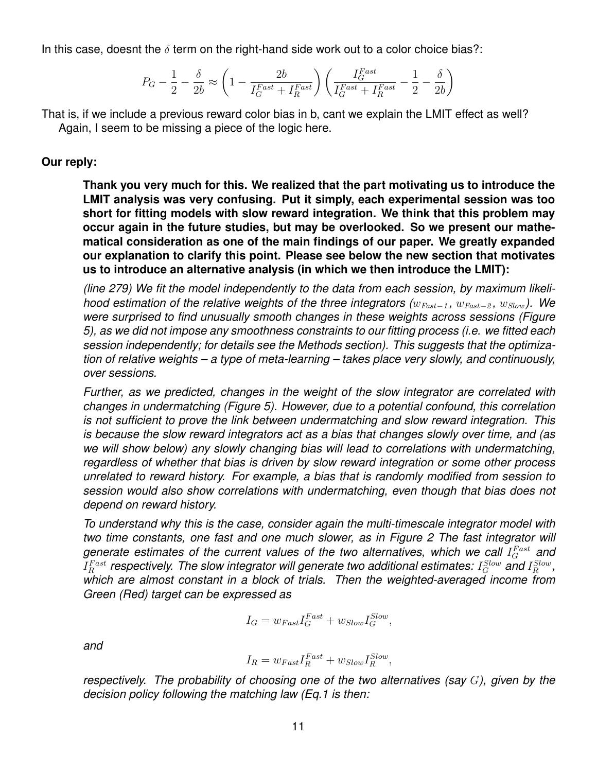In this case, doesnt the  $\delta$  term on the right-hand side work out to a color choice bias?:

$$
P_G - \frac{1}{2} - \frac{\delta}{2b} \approx \left(1-\frac{2b}{I_G^{Fast}+I_R^{Fast}}\right)\left(\frac{I_G^{Fast}}{I_G^{Fast}+I_R^{Fast}} - \frac{1}{2} - \frac{\delta}{2b}\right)
$$

That is, if we include a previous reward color bias in b, cant we explain the LMIT effect as well? Again, I seem to be missing a piece of the logic here.

## **Our reply:**

**Thank you very much for this. We realized that the part motivating us to introduce the LMIT analysis was very confusing. Put it simply, each experimental session was too short for fitting models with slow reward integration. We think that this problem may occur again in the future studies, but may be overlooked. So we present our mathematical consideration as one of the main findings of our paper. We greatly expanded our explanation to clarify this point. Please see below the new section that motivates us to introduce an alternative analysis (in which we then introduce the LMIT):**

*(line 279) We fit the model independently to the data from each session, by maximum likelihood estimation of the relative weights of the three integrators (* $w_{Fast-1}$ *,*  $w_{Fast-2}$ *,*  $w_{Slow}$ *). We were surprised to find unusually smooth changes in these weights across sessions (Figure 5), as we did not impose any smoothness constraints to our fitting process (i.e. we fitted each session independently; for details see the Methods section). This suggests that the optimization of relative weights – a type of meta-learning – takes place very slowly, and continuously, over sessions.*

*Further, as we predicted, changes in the weight of the slow integrator are correlated with changes in undermatching (Figure 5). However, due to a potential confound, this correlation is not sufficient to prove the link between undermatching and slow reward integration. This is because the slow reward integrators act as a bias that changes slowly over time, and (as we will show below) any slowly changing bias will lead to correlations with undermatching, regardless of whether that bias is driven by slow reward integration or some other process unrelated to reward history. For example, a bias that is randomly modified from session to session would also show correlations with undermatching, even though that bias does not depend on reward history.*

*To understand why this is the case, consider again the multi-timescale integrator model with two time constants, one fast and one much slower, as in Figure 2 The fast integrator will* generate estimates of the current values of the two alternatives, which we call  $I_G^{Fast}$  and  $I_R^{Fast}$  respectively. The slow integrator will generate two additional estimates:  $I_G^{Slow}$  and  $I_R^{Slow}$  , *which are almost constant in a block of trials. Then the weighted-averaged income from Green (Red) target can be expressed as*

$$
I_G = w_{Fast} I_G^{Fast} + w_{Slow} I_G^{Slow},
$$

*and*

$$
I_R = w_{Fast} I_R^{Fast} + w_{Slow} I_R^{Slow},
$$

*respectively. The probability of choosing one of the two alternatives (say* G*), given by the decision policy following the matching law (Eq.1 is then:*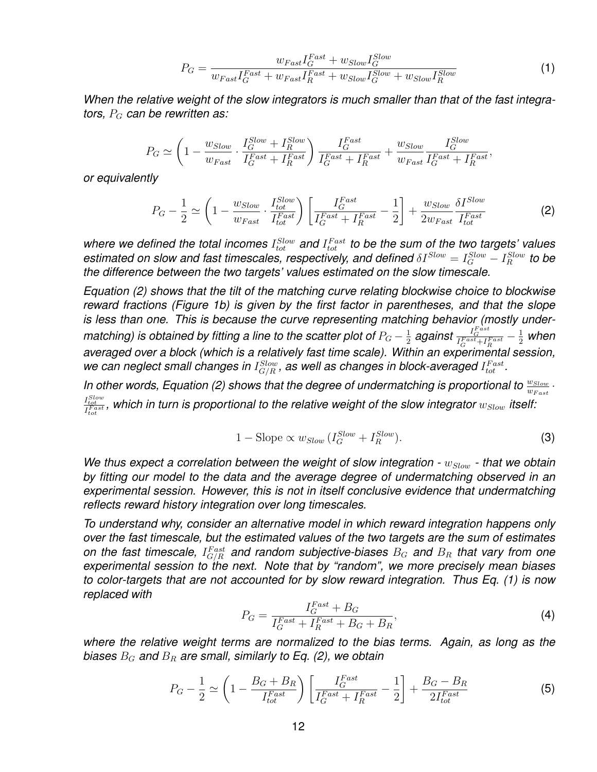$$
P_G = \frac{w_{Fast} I_G^{Fast} + w_{Slow} I_G^{Slow}}{w_{Fast} I_G^{Fast} + w_{Fast} I_R^{Fast} + w_{Slow} I_G^{Slow} + w_{Slow} I_R^{Slow}}
$$
(1)

*When the relative weight of the slow integrators is much smaller than that of the fast integrators, P<sub>G</sub> can be rewritten as:* 

$$
P_G \simeq \left(1 - \frac{w_{Slow}}{w_{Fast}} \cdot \frac{I_G^{Slow} + I_R^{Slow}}{I_G^{Fast} + I_R^{Fast}}\right) \frac{I_G^{Fast}}{I_G^{Fast} + I_R^{Fast}} + \frac{w_{Slow}}{w_{Fast}} \frac{I_G^{Slow}}{I_G^{Fast} + I_R^{Fast}},
$$

*or equivalently*

$$
P_G - \frac{1}{2} \simeq \left(1 - \frac{w_{Slow}}{w_{Fast}} \cdot \frac{I_{tot}^{Slow}}{I_{tot}^{Fast}}\right) \left[\frac{I_G^{Fast}}{I_G^{Fast} + I_R^{Fast}} - \frac{1}{2}\right] + \frac{w_{Slow}}{2w_{Fast}} \frac{\delta I^{Slow}}{I_{tot}^{Fast}} \tag{2}
$$

where we defined the total incomes  $I_{tot}^{Slow}$  and  $I_{tot}^{Fast}$  to be the sum of the two targets' values estimated on slow and fast timescales, respectively, and defined  $\delta I^{Slow}=I_G^{Slow}-I_R^{Slow}$  to be *the difference between the two targets' values estimated on the slow timescale.*

*Equation (2) shows that the tilt of the matching curve relating blockwise choice to blockwise reward fractions (Figure 1b) is given by the first factor in parentheses, and that the slope is less than one. This is because the curve representing matching behavior (mostly undermatching) is obtained by fitting a line to the scatter plot of*  $P_G - \frac{1}{2}$  $\frac{1}{2}$  against  $\frac{I_G^{Fast}+I_R^{Fast}-\frac{1}{2}}{I_G^{Fast}+I_R^{Fast}}$ *averaged over a block (which is a relatively fast time scale). Within an experimental session,* we can neglect small changes in  $I^{\text{Slow}}_{G/R}$ , as well as changes in block-averaged  $I^{\text{Fast}}_{tot}$ .

In other words, Equation (2) shows that the degree of undermatching is proportional to  $\frac{w_{Slow}}{w_{Fast}}$ .  $I_{tot}^{Slow}_{tot}$ , which in turn is proportional to the relative weight of the slow integrator  $w_{Slow}$  itself:

$$
1 - \text{Slope} \propto w_{Slow} \left( I_G^{Slow} + I_R^{Slow} \right). \tag{3}
$$

*We thus expect a correlation between the weight of slow integration -*  $w_{Slow}$  *- that we obtain by fitting our model to the data and the average degree of undermatching observed in an experimental session. However, this is not in itself conclusive evidence that undermatching reflects reward history integration over long timescales.*

*To understand why, consider an alternative model in which reward integration happens only over the fast timescale, but the estimated values of the two targets are the sum of estimates* on the fast timescale,  $I_{G/R}^{Fast}$  and random subjective-biases  $B_G$  and  $B_R$  that vary from one *experimental session to the next. Note that by "random", we more precisely mean biases to color-targets that are not accounted for by slow reward integration. Thus Eq. (1) is now replaced with*

$$
P_G = \frac{I_G^{Fast} + B_G}{I_G^{Fast} + I_R^{Fast} + B_G + B_R},\tag{4}
$$

*where the relative weight terms are normalized to the bias terms. Again, as long as the biases* B<sup>G</sup> *and* B<sup>R</sup> *are small, similarly to Eq. (2), we obtain*

$$
P_G - \frac{1}{2} \simeq \left(1 - \frac{B_G + B_R}{I_{tot}^{Fast}}\right) \left[\frac{I_G^{Fast}}{I_G^{Fast} + I_R^{Fast}} - \frac{1}{2}\right] + \frac{B_G - B_R}{2I_{tot}^{Fast}}
$$
(5)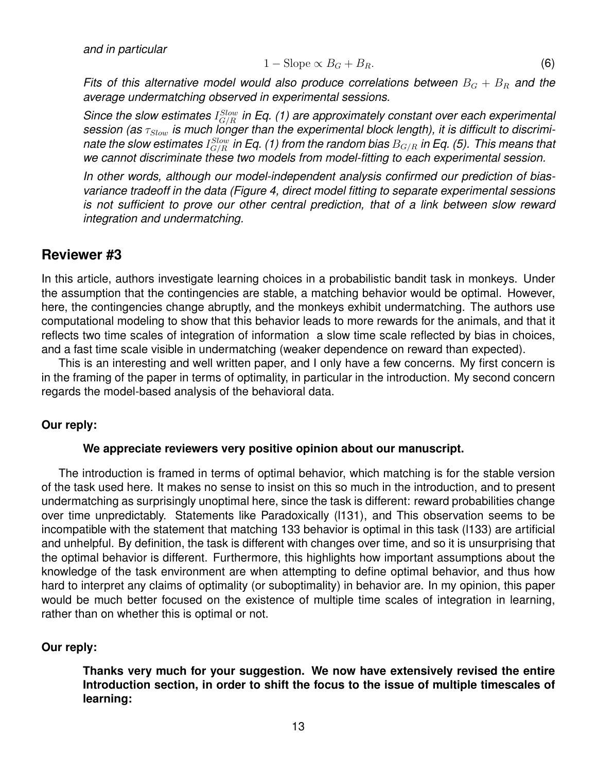*and in particular*

$$
1 - \text{Slope} \propto B_G + B_R. \tag{6}
$$

*Fits of this alternative model would also produce correlations between*  $B_G + B_R$  and the *average undermatching observed in experimental sessions.*

Since the slow estimates  $I^{Slow}_{G/R}$  in Eq. (1) are approximately constant over each experimental session (as  $\tau_{Slow}$  is much longer than the experimental block length), it is difficult to discriminate the slow estimates  $I^{Slow}_{G/R}$  in Eq. (1) from the random bias  $B_{G/R}$  in Eq. (5). This means that *we cannot discriminate these two models from model-fitting to each experimental session.*

*In other words, although our model-independent analysis confirmed our prediction of biasvariance tradeoff in the data (Figure 4, direct model fitting to separate experimental sessions is not sufficient to prove our other central prediction, that of a link between slow reward integration and undermatching.*

#### **Reviewer #3**

In this article, authors investigate learning choices in a probabilistic bandit task in monkeys. Under the assumption that the contingencies are stable, a matching behavior would be optimal. However, here, the contingencies change abruptly, and the monkeys exhibit undermatching. The authors use computational modeling to show that this behavior leads to more rewards for the animals, and that it reflects two time scales of integration of information a slow time scale reflected by bias in choices, and a fast time scale visible in undermatching (weaker dependence on reward than expected).

This is an interesting and well written paper, and I only have a few concerns. My first concern is in the framing of the paper in terms of optimality, in particular in the introduction. My second concern regards the model-based analysis of the behavioral data.

#### **Our reply:**

#### **We appreciate reviewers very positive opinion about our manuscript.**

The introduction is framed in terms of optimal behavior, which matching is for the stable version of the task used here. It makes no sense to insist on this so much in the introduction, and to present undermatching as surprisingly unoptimal here, since the task is different: reward probabilities change over time unpredictably. Statements like Paradoxically (l131), and This observation seems to be incompatible with the statement that matching 133 behavior is optimal in this task (l133) are artificial and unhelpful. By definition, the task is different with changes over time, and so it is unsurprising that the optimal behavior is different. Furthermore, this highlights how important assumptions about the knowledge of the task environment are when attempting to define optimal behavior, and thus how hard to interpret any claims of optimality (or suboptimality) in behavior are. In my opinion, this paper would be much better focused on the existence of multiple time scales of integration in learning, rather than on whether this is optimal or not.

#### **Our reply:**

**Thanks very much for your suggestion. We now have extensively revised the entire Introduction section, in order to shift the focus to the issue of multiple timescales of learning:**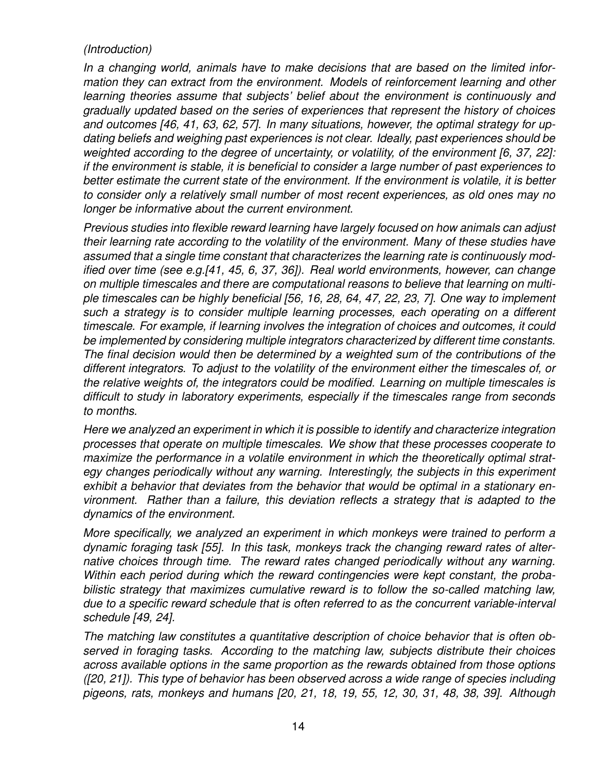# *(Introduction)*

*In a changing world, animals have to make decisions that are based on the limited information they can extract from the environment. Models of reinforcement learning and other learning theories assume that subjects' belief about the environment is continuously and gradually updated based on the series of experiences that represent the history of choices and outcomes [46, 41, 63, 62, 57]. In many situations, however, the optimal strategy for updating beliefs and weighing past experiences is not clear. Ideally, past experiences should be weighted according to the degree of uncertainty, or volatility, of the environment [6, 37, 22]: if the environment is stable, it is beneficial to consider a large number of past experiences to better estimate the current state of the environment. If the environment is volatile, it is better to consider only a relatively small number of most recent experiences, as old ones may no longer be informative about the current environment.*

*Previous studies into flexible reward learning have largely focused on how animals can adjust their learning rate according to the volatility of the environment. Many of these studies have assumed that a single time constant that characterizes the learning rate is continuously modified over time (see e.g.[41, 45, 6, 37, 36]). Real world environments, however, can change on multiple timescales and there are computational reasons to believe that learning on multiple timescales can be highly beneficial [56, 16, 28, 64, 47, 22, 23, 7]. One way to implement such a strategy is to consider multiple learning processes, each operating on a different timescale. For example, if learning involves the integration of choices and outcomes, it could be implemented by considering multiple integrators characterized by different time constants. The final decision would then be determined by a weighted sum of the contributions of the different integrators. To adjust to the volatility of the environment either the timescales of, or the relative weights of, the integrators could be modified. Learning on multiple timescales is difficult to study in laboratory experiments, especially if the timescales range from seconds to months.*

*Here we analyzed an experiment in which it is possible to identify and characterize integration processes that operate on multiple timescales. We show that these processes cooperate to maximize the performance in a volatile environment in which the theoretically optimal strategy changes periodically without any warning. Interestingly, the subjects in this experiment exhibit a behavior that deviates from the behavior that would be optimal in a stationary environment. Rather than a failure, this deviation reflects a strategy that is adapted to the dynamics of the environment.*

*More specifically, we analyzed an experiment in which monkeys were trained to perform a dynamic foraging task [55]. In this task, monkeys track the changing reward rates of alternative choices through time. The reward rates changed periodically without any warning. Within each period during which the reward contingencies were kept constant, the probabilistic strategy that maximizes cumulative reward is to follow the so-called matching law, due to a specific reward schedule that is often referred to as the concurrent variable-interval schedule [49, 24].*

*The matching law constitutes a quantitative description of choice behavior that is often observed in foraging tasks. According to the matching law, subjects distribute their choices across available options in the same proportion as the rewards obtained from those options ([20, 21]). This type of behavior has been observed across a wide range of species including pigeons, rats, monkeys and humans [20, 21, 18, 19, 55, 12, 30, 31, 48, 38, 39]. Although*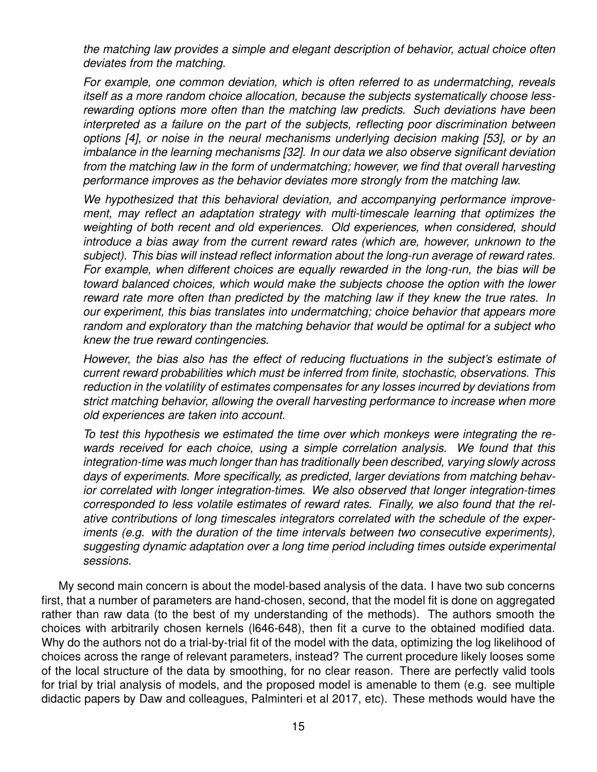*the matching law provides a simple and elegant description of behavior, actual choice often deviates from the matching.*

*For example, one common deviation, which is often referred to as undermatching, reveals itself as a more random choice allocation, because the subjects systematically choose lessrewarding options more often than the matching law predicts. Such deviations have been interpreted as a failure on the part of the subjects, reflecting poor discrimination between options [4], or noise in the neural mechanisms underlying decision making [53], or by an imbalance in the learning mechanisms [32]. In our data we also observe significant deviation from the matching law in the form of undermatching; however, we find that overall harvesting performance improves as the behavior deviates more strongly from the matching law.*

*We hypothesized that this behavioral deviation, and accompanying performance improvement, may reflect an adaptation strategy with multi-timescale learning that optimizes the weighting of both recent and old experiences. Old experiences, when considered, should introduce a bias away from the current reward rates (which are, however, unknown to the subject). This bias will instead reflect information about the long-run average of reward rates. For example, when different choices are equally rewarded in the long-run, the bias will be toward balanced choices, which would make the subjects choose the option with the lower reward rate more often than predicted by the matching law if they knew the true rates. In our experiment, this bias translates into undermatching; choice behavior that appears more random and exploratory than the matching behavior that would be optimal for a subject who knew the true reward contingencies.*

*However, the bias also has the effect of reducing fluctuations in the subject's estimate of current reward probabilities which must be inferred from finite, stochastic, observations. This reduction in the volatility of estimates compensates for any losses incurred by deviations from strict matching behavior, allowing the overall harvesting performance to increase when more old experiences are taken into account.*

*To test this hypothesis we estimated the time over which monkeys were integrating the rewards received for each choice, using a simple correlation analysis. We found that this integration-time was much longer than has traditionally been described, varying slowly across days of experiments. More specifically, as predicted, larger deviations from matching behavior correlated with longer integration-times. We also observed that longer integration-times corresponded to less volatile estimates of reward rates. Finally, we also found that the relative contributions of long timescales integrators correlated with the schedule of the experiments (e.g. with the duration of the time intervals between two consecutive experiments), suggesting dynamic adaptation over a long time period including times outside experimental sessions.*

My second main concern is about the model-based analysis of the data. I have two sub concerns first, that a number of parameters are hand-chosen, second, that the model fit is done on aggregated rather than raw data (to the best of my understanding of the methods). The authors smooth the choices with arbitrarily chosen kernels (l646-648), then fit a curve to the obtained modified data. Why do the authors not do a trial-by-trial fit of the model with the data, optimizing the log likelihood of choices across the range of relevant parameters, instead? The current procedure likely looses some of the local structure of the data by smoothing, for no clear reason. There are perfectly valid tools for trial by trial analysis of models, and the proposed model is amenable to them (e.g. see multiple didactic papers by Daw and colleagues, Palminteri et al 2017, etc). These methods would have the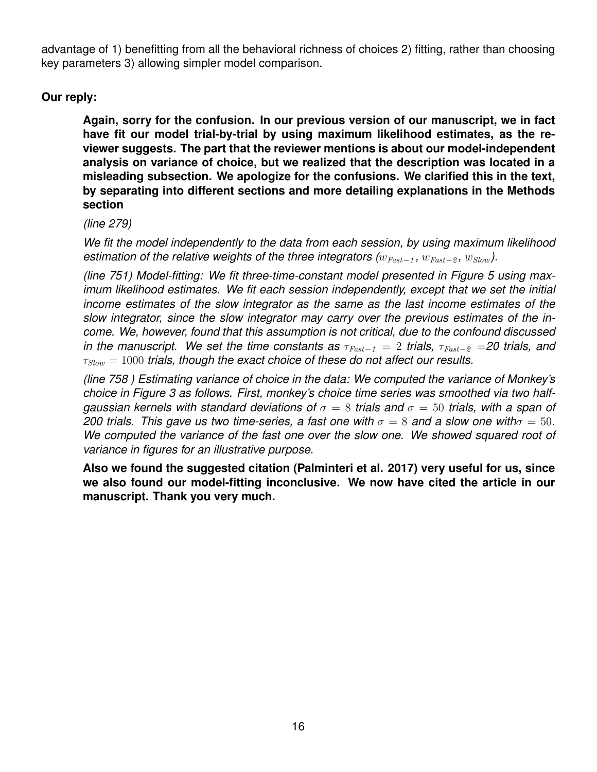advantage of 1) benefitting from all the behavioral richness of choices 2) fitting, rather than choosing key parameters 3) allowing simpler model comparison.

# **Our reply:**

**Again, sorry for the confusion. In our previous version of our manuscript, we in fact have fit our model trial-by-trial by using maximum likelihood estimates, as the reviewer suggests. The part that the reviewer mentions is about our model-independent analysis on variance of choice, but we realized that the description was located in a misleading subsection. We apologize for the confusions. We clarified this in the text, by separating into different sections and more detailing explanations in the Methods section**

#### *(line 279)*

*We fit the model independently to the data from each session, by using maximum likelihood estimation of the relative weights of the three integrators (* $w_{Fast-1}$ *,*  $w_{Fast-2}$ *,*  $w_{Slow}$ *).* 

*(line 751) Model-fitting: We fit three-time-constant model presented in Figure 5 using maximum likelihood estimates. We fit each session independently, except that we set the initial income estimates of the slow integrator as the same as the last income estimates of the slow integrator, since the slow integrator may carry over the previous estimates of the income. We, however, found that this assumption is not critical, due to the confound discussed in the manuscript. We set the time constants as*  $\tau_{Fast-1} = 2$  *trials,*  $\tau_{Fast-2} = 20$  *trials, and*  $\tau_{slow} = 1000$  *trials, though the exact choice of these do not affect our results.* 

*(line 758 ) Estimating variance of choice in the data: We computed the variance of Monkey's choice in Figure 3 as follows. First, monkey's choice time series was smoothed via two halfgaussian kernels with standard deviations of*  $\sigma = 8$  *trials and*  $\sigma = 50$  *trials, with a span of 200 trials. This gave us two time-series, a fast one with*  $\sigma = 8$  *and a slow one with* $\sigma = 50$ *. We computed the variance of the fast one over the slow one. We showed squared root of variance in figures for an illustrative purpose.*

**Also we found the suggested citation (Palminteri et al. 2017) very useful for us, since we also found our model-fitting inconclusive. We now have cited the article in our manuscript. Thank you very much.**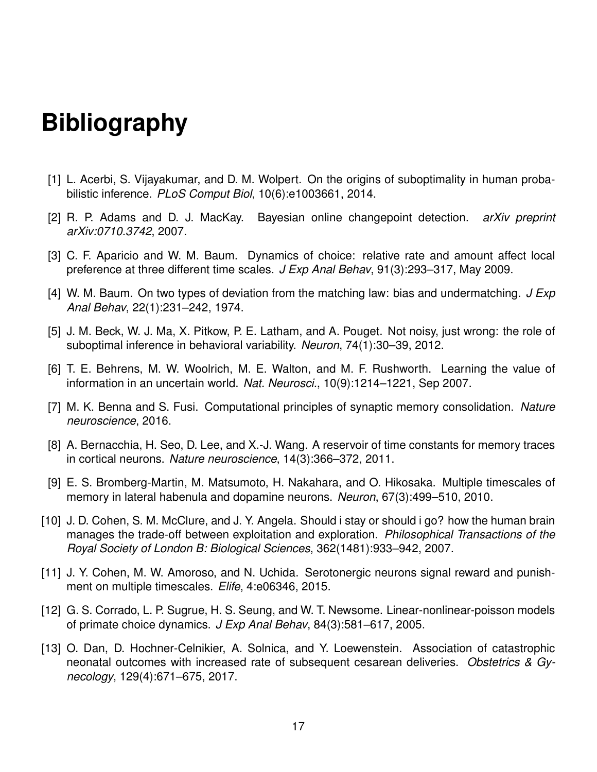# **Bibliography**

- [1] L. Acerbi, S. Vijayakumar, and D. M. Wolpert. On the origins of suboptimality in human probabilistic inference. *PLoS Comput Biol*, 10(6):e1003661, 2014.
- [2] R. P. Adams and D. J. MacKay. Bayesian online changepoint detection. *arXiv preprint arXiv:0710.3742*, 2007.
- [3] C. F. Aparicio and W. M. Baum. Dynamics of choice: relative rate and amount affect local preference at three different time scales. *J Exp Anal Behav*, 91(3):293–317, May 2009.
- [4] W. M. Baum. On two types of deviation from the matching law: bias and undermatching. *J Exp Anal Behav*, 22(1):231–242, 1974.
- [5] J. M. Beck, W. J. Ma, X. Pitkow, P. E. Latham, and A. Pouget. Not noisy, just wrong: the role of suboptimal inference in behavioral variability. *Neuron*, 74(1):30–39, 2012.
- [6] T. E. Behrens, M. W. Woolrich, M. E. Walton, and M. F. Rushworth. Learning the value of information in an uncertain world. *Nat. Neurosci.*, 10(9):1214–1221, Sep 2007.
- [7] M. K. Benna and S. Fusi. Computational principles of synaptic memory consolidation. *Nature neuroscience*, 2016.
- [8] A. Bernacchia, H. Seo, D. Lee, and X.-J. Wang. A reservoir of time constants for memory traces in cortical neurons. *Nature neuroscience*, 14(3):366–372, 2011.
- [9] E. S. Bromberg-Martin, M. Matsumoto, H. Nakahara, and O. Hikosaka. Multiple timescales of memory in lateral habenula and dopamine neurons. *Neuron*, 67(3):499–510, 2010.
- [10] J. D. Cohen, S. M. McClure, and J. Y. Angela. Should i stay or should i go? how the human brain manages the trade-off between exploitation and exploration. *Philosophical Transactions of the Royal Society of London B: Biological Sciences*, 362(1481):933–942, 2007.
- [11] J. Y. Cohen, M. W. Amoroso, and N. Uchida. Serotonergic neurons signal reward and punishment on multiple timescales. *Elife*, 4:e06346, 2015.
- [12] G. S. Corrado, L. P. Sugrue, H. S. Seung, and W. T. Newsome. Linear-nonlinear-poisson models of primate choice dynamics. *J Exp Anal Behav*, 84(3):581–617, 2005.
- [13] O. Dan, D. Hochner-Celnikier, A. Solnica, and Y. Loewenstein. Association of catastrophic neonatal outcomes with increased rate of subsequent cesarean deliveries. *Obstetrics & Gynecology*, 129(4):671–675, 2017.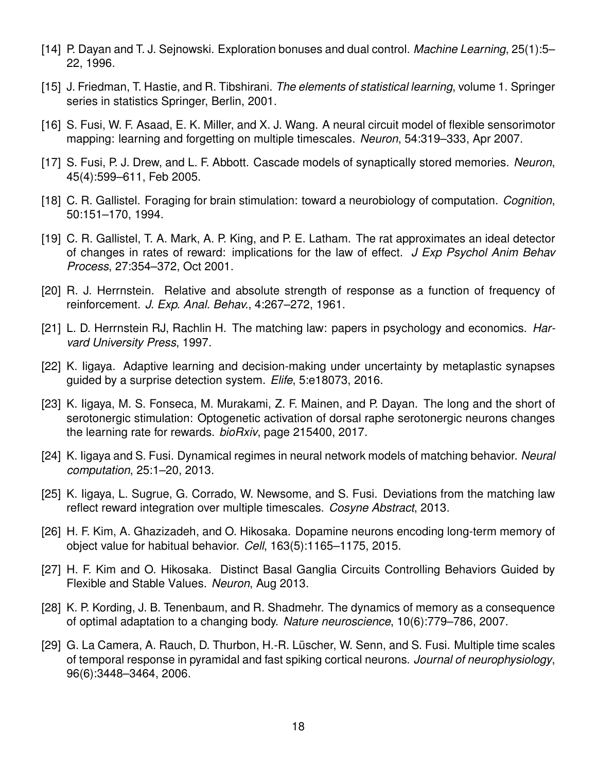- [14] P. Dayan and T. J. Sejnowski. Exploration bonuses and dual control. *Machine Learning*, 25(1):5– 22, 1996.
- [15] J. Friedman, T. Hastie, and R. Tibshirani. *The elements of statistical learning*, volume 1. Springer series in statistics Springer, Berlin, 2001.
- [16] S. Fusi, W. F. Asaad, E. K. Miller, and X. J. Wang. A neural circuit model of flexible sensorimotor mapping: learning and forgetting on multiple timescales. *Neuron*, 54:319–333, Apr 2007.
- [17] S. Fusi, P. J. Drew, and L. F. Abbott. Cascade models of synaptically stored memories. *Neuron*, 45(4):599–611, Feb 2005.
- [18] C. R. Gallistel. Foraging for brain stimulation: toward a neurobiology of computation. *Cognition*, 50:151–170, 1994.
- [19] C. R. Gallistel, T. A. Mark, A. P. King, and P. E. Latham. The rat approximates an ideal detector of changes in rates of reward: implications for the law of effect. *J Exp Psychol Anim Behav Process*, 27:354–372, Oct 2001.
- [20] R. J. Herrnstein. Relative and absolute strength of response as a function of frequency of reinforcement. *J. Exp. Anal. Behav.*, 4:267–272, 1961.
- [21] L. D. Herrnstein RJ, Rachlin H. The matching law: papers in psychology and economics. *Harvard University Press*, 1997.
- [22] K. Iigaya. Adaptive learning and decision-making under uncertainty by metaplastic synapses guided by a surprise detection system. *Elife*, 5:e18073, 2016.
- [23] K. Iigaya, M. S. Fonseca, M. Murakami, Z. F. Mainen, and P. Dayan. The long and the short of serotonergic stimulation: Optogenetic activation of dorsal raphe serotonergic neurons changes the learning rate for rewards. *bioRxiv*, page 215400, 2017.
- [24] K. Iigaya and S. Fusi. Dynamical regimes in neural network models of matching behavior. *Neural computation*, 25:1–20, 2013.
- [25] K. Iigaya, L. Sugrue, G. Corrado, W. Newsome, and S. Fusi. Deviations from the matching law reflect reward integration over multiple timescales. *Cosyne Abstract*, 2013.
- [26] H. F. Kim, A. Ghazizadeh, and O. Hikosaka. Dopamine neurons encoding long-term memory of object value for habitual behavior. *Cell*, 163(5):1165–1175, 2015.
- [27] H. F. Kim and O. Hikosaka. Distinct Basal Ganglia Circuits Controlling Behaviors Guided by Flexible and Stable Values. *Neuron*, Aug 2013.
- [28] K. P. Kording, J. B. Tenenbaum, and R. Shadmehr. The dynamics of memory as a consequence of optimal adaptation to a changing body. *Nature neuroscience*, 10(6):779–786, 2007.
- [29] G. La Camera, A. Rauch, D. Thurbon, H.-R. Lüscher, W. Senn, and S. Fusi. Multiple time scales of temporal response in pyramidal and fast spiking cortical neurons. *Journal of neurophysiology*, 96(6):3448–3464, 2006.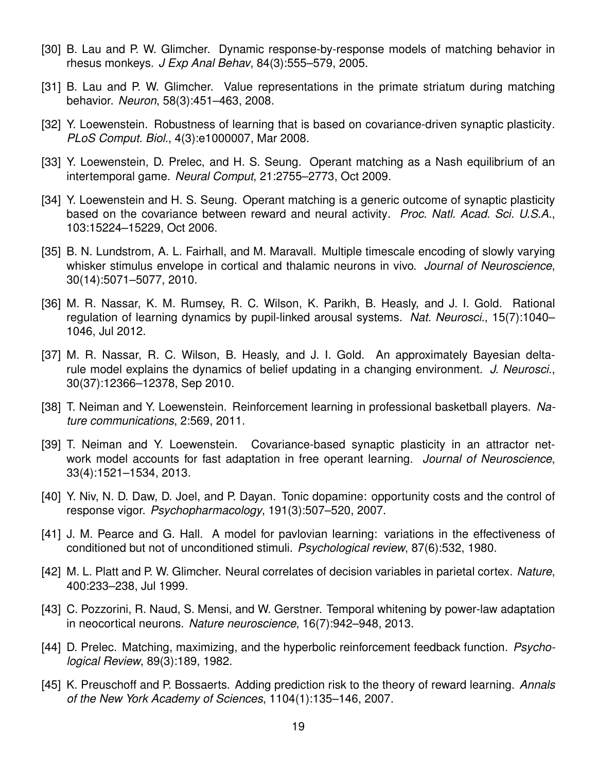- [30] B. Lau and P. W. Glimcher. Dynamic response-by-response models of matching behavior in rhesus monkeys. *J Exp Anal Behav*, 84(3):555–579, 2005.
- [31] B. Lau and P. W. Glimcher. Value representations in the primate striatum during matching behavior. *Neuron*, 58(3):451–463, 2008.
- [32] Y. Loewenstein. Robustness of learning that is based on covariance-driven synaptic plasticity. *PLoS Comput. Biol.*, 4(3):e1000007, Mar 2008.
- [33] Y. Loewenstein, D. Prelec, and H. S. Seung. Operant matching as a Nash equilibrium of an intertemporal game. *Neural Comput*, 21:2755–2773, Oct 2009.
- [34] Y. Loewenstein and H. S. Seung. Operant matching is a generic outcome of synaptic plasticity based on the covariance between reward and neural activity. *Proc. Natl. Acad. Sci. U.S.A.*, 103:15224–15229, Oct 2006.
- [35] B. N. Lundstrom, A. L. Fairhall, and M. Maravall. Multiple timescale encoding of slowly varying whisker stimulus envelope in cortical and thalamic neurons in vivo. *Journal of Neuroscience*, 30(14):5071–5077, 2010.
- [36] M. R. Nassar, K. M. Rumsey, R. C. Wilson, K. Parikh, B. Heasly, and J. I. Gold. Rational regulation of learning dynamics by pupil-linked arousal systems. *Nat. Neurosci.*, 15(7):1040– 1046, Jul 2012.
- [37] M. R. Nassar, R. C. Wilson, B. Heasly, and J. I. Gold. An approximately Bayesian deltarule model explains the dynamics of belief updating in a changing environment. *J. Neurosci.*, 30(37):12366–12378, Sep 2010.
- [38] T. Neiman and Y. Loewenstein. Reinforcement learning in professional basketball players. *Nature communications*, 2:569, 2011.
- [39] T. Neiman and Y. Loewenstein. Covariance-based synaptic plasticity in an attractor network model accounts for fast adaptation in free operant learning. *Journal of Neuroscience*, 33(4):1521–1534, 2013.
- [40] Y. Niv, N. D. Daw, D. Joel, and P. Dayan. Tonic dopamine: opportunity costs and the control of response vigor. *Psychopharmacology*, 191(3):507–520, 2007.
- [41] J. M. Pearce and G. Hall. A model for pavlovian learning: variations in the effectiveness of conditioned but not of unconditioned stimuli. *Psychological review*, 87(6):532, 1980.
- [42] M. L. Platt and P. W. Glimcher. Neural correlates of decision variables in parietal cortex. *Nature*, 400:233–238, Jul 1999.
- [43] C. Pozzorini, R. Naud, S. Mensi, and W. Gerstner. Temporal whitening by power-law adaptation in neocortical neurons. *Nature neuroscience*, 16(7):942–948, 2013.
- [44] D. Prelec. Matching, maximizing, and the hyperbolic reinforcement feedback function. *Psychological Review*, 89(3):189, 1982.
- [45] K. Preuschoff and P. Bossaerts. Adding prediction risk to the theory of reward learning. *Annals of the New York Academy of Sciences*, 1104(1):135–146, 2007.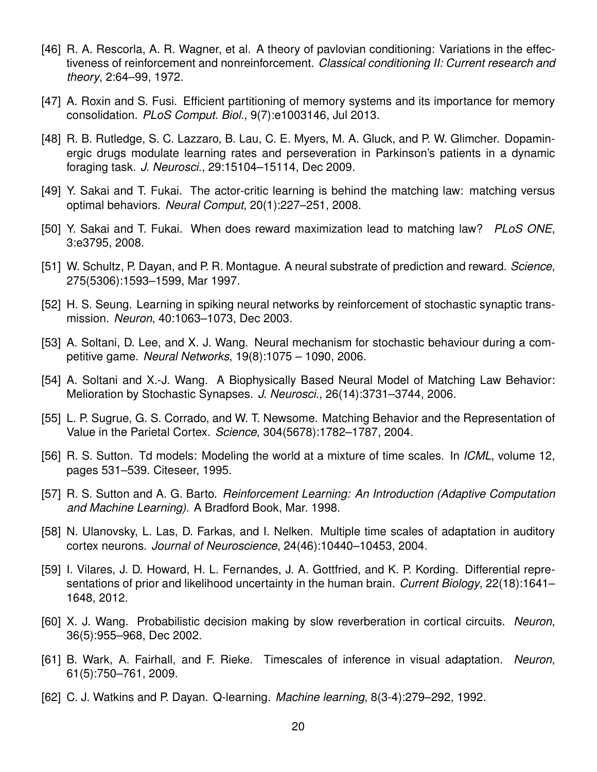- [46] R. A. Rescorla, A. R. Wagner, et al. A theory of pavlovian conditioning: Variations in the effectiveness of reinforcement and nonreinforcement. *Classical conditioning II: Current research and theory*, 2:64–99, 1972.
- [47] A. Roxin and S. Fusi. Efficient partitioning of memory systems and its importance for memory consolidation. *PLoS Comput. Biol.*, 9(7):e1003146, Jul 2013.
- [48] R. B. Rutledge, S. C. Lazzaro, B. Lau, C. E. Myers, M. A. Gluck, and P. W. Glimcher. Dopaminergic drugs modulate learning rates and perseveration in Parkinson's patients in a dynamic foraging task. *J. Neurosci.*, 29:15104–15114, Dec 2009.
- [49] Y. Sakai and T. Fukai. The actor-critic learning is behind the matching law: matching versus optimal behaviors. *Neural Comput*, 20(1):227–251, 2008.
- [50] Y. Sakai and T. Fukai. When does reward maximization lead to matching law? *PLoS ONE*, 3:e3795, 2008.
- [51] W. Schultz, P. Dayan, and P. R. Montague. A neural substrate of prediction and reward. *Science*, 275(5306):1593–1599, Mar 1997.
- [52] H. S. Seung. Learning in spiking neural networks by reinforcement of stochastic synaptic transmission. *Neuron*, 40:1063–1073, Dec 2003.
- [53] A. Soltani, D. Lee, and X. J. Wang. Neural mechanism for stochastic behaviour during a competitive game. *Neural Networks*, 19(8):1075 – 1090, 2006.
- [54] A. Soltani and X.-J. Wang. A Biophysically Based Neural Model of Matching Law Behavior: Melioration by Stochastic Synapses. *J. Neurosci.*, 26(14):3731–3744, 2006.
- [55] L. P. Sugrue, G. S. Corrado, and W. T. Newsome. Matching Behavior and the Representation of Value in the Parietal Cortex. *Science*, 304(5678):1782–1787, 2004.
- [56] R. S. Sutton. Td models: Modeling the world at a mixture of time scales. In *ICML*, volume 12, pages 531–539. Citeseer, 1995.
- [57] R. S. Sutton and A. G. Barto. *Reinforcement Learning: An Introduction (Adaptive Computation and Machine Learning)*. A Bradford Book, Mar. 1998.
- [58] N. Ulanovsky, L. Las, D. Farkas, and I. Nelken. Multiple time scales of adaptation in auditory cortex neurons. *Journal of Neuroscience*, 24(46):10440–10453, 2004.
- [59] I. Vilares, J. D. Howard, H. L. Fernandes, J. A. Gottfried, and K. P. Kording. Differential representations of prior and likelihood uncertainty in the human brain. *Current Biology*, 22(18):1641– 1648, 2012.
- [60] X. J. Wang. Probabilistic decision making by slow reverberation in cortical circuits. *Neuron*, 36(5):955–968, Dec 2002.
- [61] B. Wark, A. Fairhall, and F. Rieke. Timescales of inference in visual adaptation. *Neuron*, 61(5):750–761, 2009.
- [62] C. J. Watkins and P. Dayan. Q-learning. *Machine learning*, 8(3-4):279–292, 1992.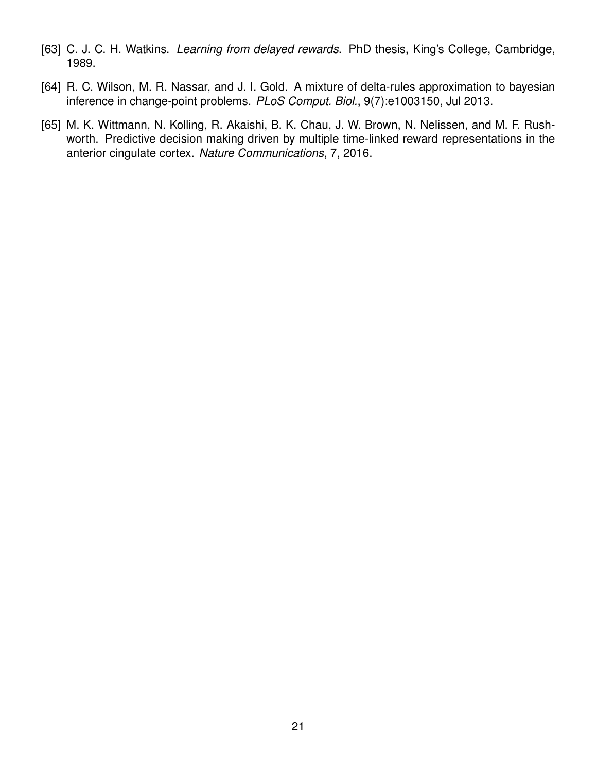- [63] C. J. C. H. Watkins. *Learning from delayed rewards*. PhD thesis, King's College, Cambridge, 1989.
- [64] R. C. Wilson, M. R. Nassar, and J. I. Gold. A mixture of delta-rules approximation to bayesian inference in change-point problems. *PLoS Comput. Biol.*, 9(7):e1003150, Jul 2013.
- [65] M. K. Wittmann, N. Kolling, R. Akaishi, B. K. Chau, J. W. Brown, N. Nelissen, and M. F. Rushworth. Predictive decision making driven by multiple time-linked reward representations in the anterior cingulate cortex. *Nature Communications*, 7, 2016.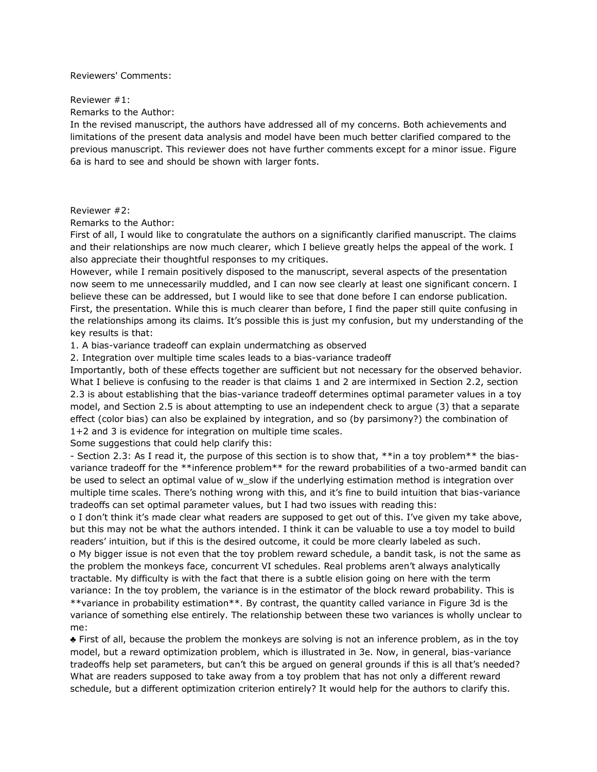#### Reviewers' Comments:

#### Reviewer #1:

Remarks to the Author:

In the revised manuscript, the authors have addressed all of my concerns. Both achievements and limitations of the present data analysis and model have been much better clarified compared to the previous manuscript. This reviewer does not have further comments except for a minor issue. Figure 6a is hard to see and should be shown with larger fonts.

#### Reviewer #2:

Remarks to the Author:

First of all, I would like to congratulate the authors on a significantly clarified manuscript. The claims and their relationships are now much clearer, which I believe greatly helps the appeal of the work. I also appreciate their thoughtful responses to my critiques.

However, while I remain positively disposed to the manuscript, several aspects of the presentation now seem to me unnecessarily muddled, and I can now see clearly at least one significant concern. I believe these can be addressed, but I would like to see that done before I can endorse publication. First, the presentation. While this is much clearer than before, I find the paper still quite confusing in the relationships among its claims. It's possible this is just my confusion, but my understanding of the key results is that:

1. A bias-variance tradeoff can explain undermatching as observed

2. Integration over multiple time scales leads to a bias-variance tradeoff

Importantly, both of these effects together are sufficient but not necessary for the observed behavior. What I believe is confusing to the reader is that claims 1 and 2 are intermixed in Section 2.2, section 2.3 is about establishing that the bias-variance tradeoff determines optimal parameter values in a toy model, and Section 2.5 is about attempting to use an independent check to argue (3) that a separate effect (color bias) can also be explained by integration, and so (by parsimony?) the combination of 1+2 and 3 is evidence for integration on multiple time scales.

Some suggestions that could help clarify this:

- Section 2.3: As I read it, the purpose of this section is to show that, \*\*in a toy problem\*\* the biasvariance tradeoff for the \*\*inference problem\*\* for the reward probabilities of a two-armed bandit can be used to select an optimal value of w\_slow if the underlying estimation method is integration over multiple time scales. There's nothing wrong with this, and it's fine to build intuition that bias-variance tradeoffs can set optimal parameter values, but I had two issues with reading this:

o I don't think it's made clear what readers are supposed to get out of this. I've given my take above, but this may not be what the authors intended. I think it can be valuable to use a toy model to build readers' intuition, but if this is the desired outcome, it could be more clearly labeled as such. o My bigger issue is not even that the toy problem reward schedule, a bandit task, is not the same as the problem the monkeys face, concurrent VI schedules. Real problems aren't always analytically tractable. My difficulty is with the fact that there is a subtle elision going on here with the term variance: In the toy problem, the variance is in the estimator of the block reward probability. This is \*\*variance in probability estimation\*\*. By contrast, the quantity called variance in Figure 3d is the variance of something else entirely. The relationship between these two variances is wholly unclear to me:

♣ First of all, because the problem the monkeys are solving is not an inference problem, as in the toy model, but a reward optimization problem, which is illustrated in 3e. Now, in general, bias-variance tradeoffs help set parameters, but can't this be argued on general grounds if this is all that's needed? What are readers supposed to take away from a toy problem that has not only a different reward schedule, but a different optimization criterion entirely? It would help for the authors to clarify this.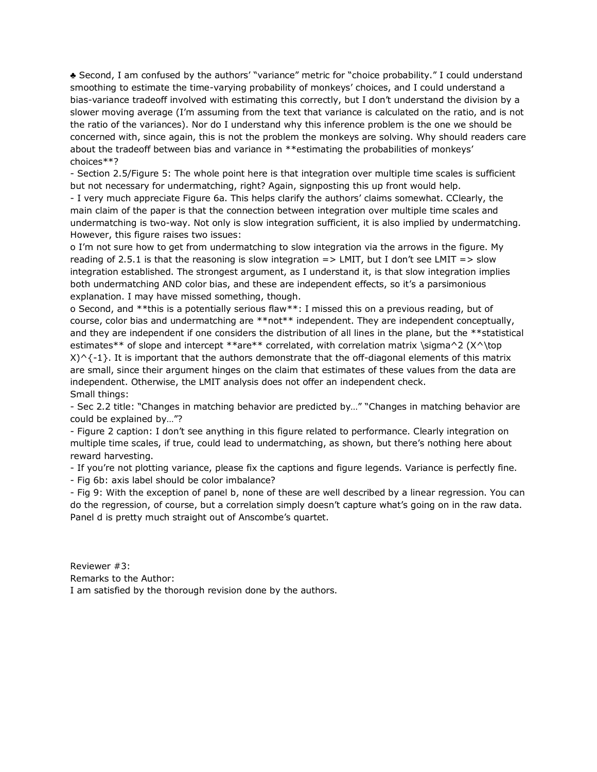♣ Second, I am confused by the authors' "variance" metric for "choice probability." I could understand smoothing to estimate the time-varying probability of monkeys' choices, and I could understand a bias-variance tradeoff involved with estimating this correctly, but I don't understand the division by a slower moving average (I'm assuming from the text that variance is calculated on the ratio, and is not the ratio of the variances). Nor do I understand why this inference problem is the one we should be concerned with, since again, this is not the problem the monkeys are solving. Why should readers care about the tradeoff between bias and variance in \*\*estimating the probabilities of monkeys' choices\*\*?

- Section 2.5/Figure 5: The whole point here is that integration over multiple time scales is sufficient but not necessary for undermatching, right? Again, signposting this up front would help.

- I very much appreciate Figure 6a. This helps clarify the authors' claims somewhat. CClearly, the main claim of the paper is that the connection between integration over multiple time scales and undermatching is two-way. Not only is slow integration sufficient, it is also implied by undermatching. However, this figure raises two issues:

o I'm not sure how to get from undermatching to slow integration via the arrows in the figure. My reading of 2.5.1 is that the reasoning is slow integration  $\Rightarrow$  LMIT, but I don't see LMIT  $\Rightarrow$  slow integration established. The strongest argument, as I understand it, is that slow integration implies both undermatching AND color bias, and these are independent effects, so it's a parsimonious explanation. I may have missed something, though.

o Second, and \*\*this is a potentially serious flaw\*\*: I missed this on a previous reading, but of course, color bias and undermatching are \*\*not\*\* independent. They are independent conceptually, and they are independent if one considers the distribution of all lines in the plane, but the \*\*statistical estimates\*\* of slope and intercept \*\*are\*\* correlated, with correlation matrix \sigma^2 (X^\top  $X$ <sup> $\land$ {-1}. It is important that the authors demonstrate that the off-diagonal elements of this matrix</sup> are small, since their argument hinges on the claim that estimates of these values from the data are independent. Otherwise, the LMIT analysis does not offer an independent check. Small things:

- Sec 2.2 title: "Changes in matching behavior are predicted by…" "Changes in matching behavior are could be explained by…"?

- Figure 2 caption: I don't see anything in this figure related to performance. Clearly integration on multiple time scales, if true, could lead to undermatching, as shown, but there's nothing here about reward harvesting.

- If you're not plotting variance, please fix the captions and figure legends. Variance is perfectly fine. - Fig 6b: axis label should be color imbalance?

- Fig 9: With the exception of panel b, none of these are well described by a linear regression. You can do the regression, of course, but a correlation simply doesn't capture what's going on in the raw data. Panel d is pretty much straight out of Anscombe's quartet.

Reviewer #3: Remarks to the Author: I am satisfied by the thorough revision done by the authors.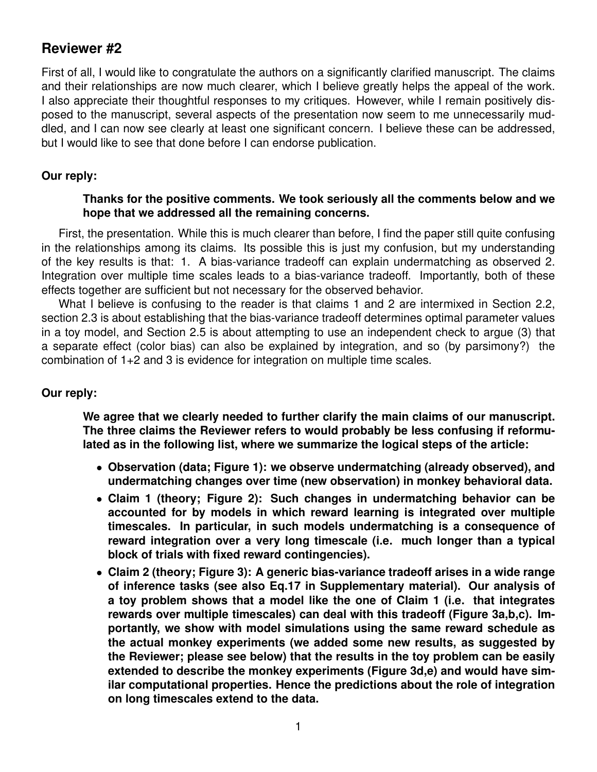# **Reviewer #2**

First of all, I would like to congratulate the authors on a significantly clarified manuscript. The claims and their relationships are now much clearer, which I believe greatly helps the appeal of the work. I also appreciate their thoughtful responses to my critiques. However, while I remain positively disposed to the manuscript, several aspects of the presentation now seem to me unnecessarily muddled, and I can now see clearly at least one significant concern. I believe these can be addressed, but I would like to see that done before I can endorse publication.

#### **Our reply:**

#### **Thanks for the positive comments. We took seriously all the comments below and we hope that we addressed all the remaining concerns.**

First, the presentation. While this is much clearer than before, I find the paper still quite confusing in the relationships among its claims. Its possible this is just my confusion, but my understanding of the key results is that: 1. A bias-variance tradeoff can explain undermatching as observed 2. Integration over multiple time scales leads to a bias-variance tradeoff. Importantly, both of these effects together are sufficient but not necessary for the observed behavior.

What I believe is confusing to the reader is that claims 1 and 2 are intermixed in Section 2.2, section 2.3 is about establishing that the bias-variance tradeoff determines optimal parameter values in a toy model, and Section 2.5 is about attempting to use an independent check to argue (3) that a separate effect (color bias) can also be explained by integration, and so (by parsimony?) the combination of 1+2 and 3 is evidence for integration on multiple time scales.

#### **Our reply:**

**We agree that we clearly needed to further clarify the main claims of our manuscript. The three claims the Reviewer refers to would probably be less confusing if reformulated as in the following list, where we summarize the logical steps of the article:**

- **Observation (data; Figure 1): we observe undermatching (already observed), and undermatching changes over time (new observation) in monkey behavioral data.**
- **Claim 1 (theory; Figure 2): Such changes in undermatching behavior can be accounted for by models in which reward learning is integrated over multiple timescales. In particular, in such models undermatching is a consequence of reward integration over a very long timescale (i.e. much longer than a typical block of trials with fixed reward contingencies).**
- **Claim 2 (theory; Figure 3): A generic bias-variance tradeoff arises in a wide range of inference tasks (see also Eq.17 in Supplementary material). Our analysis of a toy problem shows that a model like the one of Claim 1 (i.e. that integrates rewards over multiple timescales) can deal with this tradeoff (Figure 3a,b,c). Importantly, we show with model simulations using the same reward schedule as the actual monkey experiments (we added some new results, as suggested by the Reviewer; please see below) that the results in the toy problem can be easily extended to describe the monkey experiments (Figure 3d,e) and would have similar computational properties. Hence the predictions about the role of integration on long timescales extend to the data.**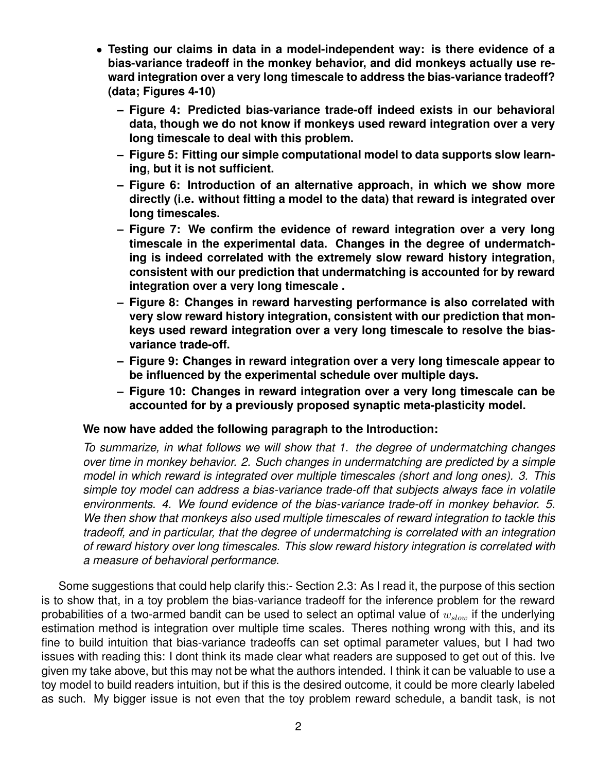- **Testing our claims in data in a model-independent way: is there evidence of a bias-variance tradeoff in the monkey behavior, and did monkeys actually use reward integration over a very long timescale to address the bias-variance tradeoff? (data; Figures 4-10)**
	- **Figure 4: Predicted bias-variance trade-off indeed exists in our behavioral data, though we do not know if monkeys used reward integration over a very long timescale to deal with this problem.**
	- **Figure 5: Fitting our simple computational model to data supports slow learning, but it is not sufficient.**
	- **Figure 6: Introduction of an alternative approach, in which we show more directly (i.e. without fitting a model to the data) that reward is integrated over long timescales.**
	- **Figure 7: We confirm the evidence of reward integration over a very long timescale in the experimental data. Changes in the degree of undermatching is indeed correlated with the extremely slow reward history integration, consistent with our prediction that undermatching is accounted for by reward integration over a very long timescale .**
	- **Figure 8: Changes in reward harvesting performance is also correlated with very slow reward history integration, consistent with our prediction that monkeys used reward integration over a very long timescale to resolve the biasvariance trade-off.**
	- **Figure 9: Changes in reward integration over a very long timescale appear to be influenced by the experimental schedule over multiple days.**
	- **Figure 10: Changes in reward integration over a very long timescale can be accounted for by a previously proposed synaptic meta-plasticity model.**

#### **We now have added the following paragraph to the Introduction:**

*To summarize, in what follows we will show that 1. the degree of undermatching changes over time in monkey behavior. 2. Such changes in undermatching are predicted by a simple model in which reward is integrated over multiple timescales (short and long ones). 3. This simple toy model can address a bias-variance trade-off that subjects always face in volatile environments. 4. We found evidence of the bias-variance trade-off in monkey behavior. 5. We then show that monkeys also used multiple timescales of reward integration to tackle this tradeoff, and in particular, that the degree of undermatching is correlated with an integration of reward history over long timescales. This slow reward history integration is correlated with a measure of behavioral performance.*

Some suggestions that could help clarify this:- Section 2.3: As I read it, the purpose of this section is to show that, in a toy problem the bias-variance tradeoff for the inference problem for the reward probabilities of a two-armed bandit can be used to select an optimal value of  $w_{slow}$  if the underlying estimation method is integration over multiple time scales. Theres nothing wrong with this, and its fine to build intuition that bias-variance tradeoffs can set optimal parameter values, but I had two issues with reading this: I dont think its made clear what readers are supposed to get out of this. Ive given my take above, but this may not be what the authors intended. I think it can be valuable to use a toy model to build readers intuition, but if this is the desired outcome, it could be more clearly labeled as such. My bigger issue is not even that the toy problem reward schedule, a bandit task, is not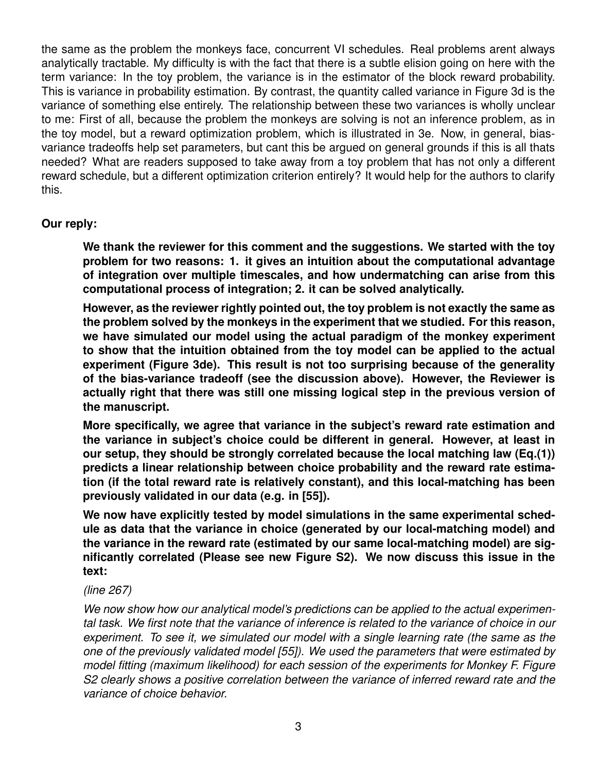the same as the problem the monkeys face, concurrent VI schedules. Real problems arent always analytically tractable. My difficulty is with the fact that there is a subtle elision going on here with the term variance: In the toy problem, the variance is in the estimator of the block reward probability. This is variance in probability estimation. By contrast, the quantity called variance in Figure 3d is the variance of something else entirely. The relationship between these two variances is wholly unclear to me: First of all, because the problem the monkeys are solving is not an inference problem, as in the toy model, but a reward optimization problem, which is illustrated in 3e. Now, in general, biasvariance tradeoffs help set parameters, but cant this be argued on general grounds if this is all thats needed? What are readers supposed to take away from a toy problem that has not only a different reward schedule, but a different optimization criterion entirely? It would help for the authors to clarify this.

# **Our reply:**

**We thank the reviewer for this comment and the suggestions. We started with the toy problem for two reasons: 1. it gives an intuition about the computational advantage of integration over multiple timescales, and how undermatching can arise from this computational process of integration; 2. it can be solved analytically.**

**However, as the reviewer rightly pointed out, the toy problem is not exactly the same as the problem solved by the monkeys in the experiment that we studied. For this reason, we have simulated our model using the actual paradigm of the monkey experiment to show that the intuition obtained from the toy model can be applied to the actual experiment (Figure 3de). This result is not too surprising because of the generality of the bias-variance tradeoff (see the discussion above). However, the Reviewer is actually right that there was still one missing logical step in the previous version of the manuscript.**

**More specifically, we agree that variance in the subject's reward rate estimation and the variance in subject's choice could be different in general. However, at least in our setup, they should be strongly correlated because the local matching law (Eq.(1)) predicts a linear relationship between choice probability and the reward rate estimation (if the total reward rate is relatively constant), and this local-matching has been previously validated in our data (e.g. in [55]).**

**We now have explicitly tested by model simulations in the same experimental schedule as data that the variance in choice (generated by our local-matching model) and the variance in the reward rate (estimated by our same local-matching model) are significantly correlated (Please see new Figure S2). We now discuss this issue in the text:**

#### *(line 267)*

*We now show how our analytical model's predictions can be applied to the actual experimental task. We first note that the variance of inference is related to the variance of choice in our experiment. To see it, we simulated our model with a single learning rate (the same as the one of the previously validated model [55]). We used the parameters that were estimated by model fitting (maximum likelihood) for each session of the experiments for Monkey F. Figure S2 clearly shows a positive correlation between the variance of inferred reward rate and the variance of choice behavior.*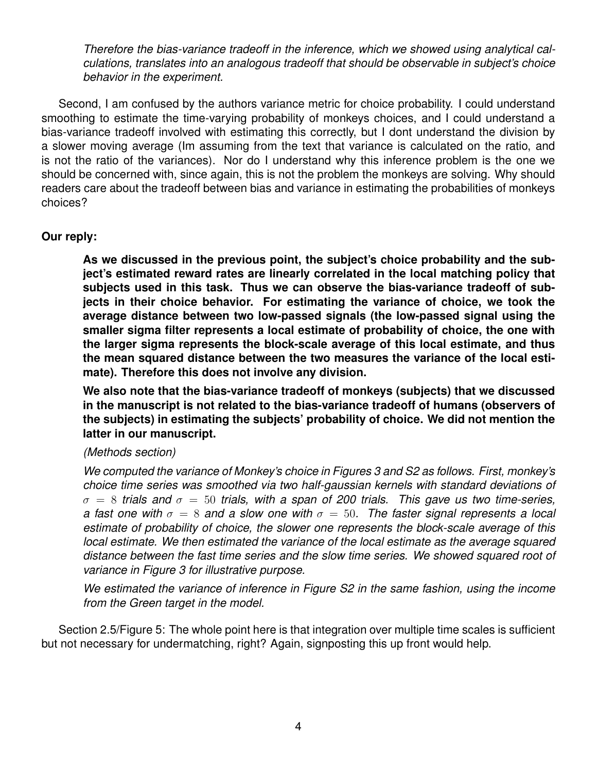*Therefore the bias-variance tradeoff in the inference, which we showed using analytical calculations, translates into an analogous tradeoff that should be observable in subject's choice behavior in the experiment.*

Second, I am confused by the authors variance metric for choice probability. I could understand smoothing to estimate the time-varying probability of monkeys choices, and I could understand a bias-variance tradeoff involved with estimating this correctly, but I dont understand the division by a slower moving average (Im assuming from the text that variance is calculated on the ratio, and is not the ratio of the variances). Nor do I understand why this inference problem is the one we should be concerned with, since again, this is not the problem the monkeys are solving. Why should readers care about the tradeoff between bias and variance in estimating the probabilities of monkeys choices?

## **Our reply:**

**As we discussed in the previous point, the subject's choice probability and the subject's estimated reward rates are linearly correlated in the local matching policy that subjects used in this task. Thus we can observe the bias-variance tradeoff of subjects in their choice behavior. For estimating the variance of choice, we took the average distance between two low-passed signals (the low-passed signal using the smaller sigma filter represents a local estimate of probability of choice, the one with the larger sigma represents the block-scale average of this local estimate, and thus the mean squared distance between the two measures the variance of the local estimate). Therefore this does not involve any division.**

**We also note that the bias-variance tradeoff of monkeys (subjects) that we discussed in the manuscript is not related to the bias-variance tradeoff of humans (observers of the subjects) in estimating the subjects' probability of choice. We did not mention the latter in our manuscript.**

#### *(Methods section)*

*We computed the variance of Monkey's choice in Figures 3 and S2 as follows. First, monkey's choice time series was smoothed via two half-gaussian kernels with standard deviations of*  $\sigma = 8$  *trials and*  $\sigma = 50$  *trials, with a span of 200 trials. This gave us two time-series, a fast one with*  $\sigma = 8$  *and a slow one with*  $\sigma = 50$ . The faster signal represents a local *estimate of probability of choice, the slower one represents the block-scale average of this local estimate. We then estimated the variance of the local estimate as the average squared distance between the fast time series and the slow time series. We showed squared root of variance in Figure 3 for illustrative purpose.*

*We estimated the variance of inference in Figure S2 in the same fashion, using the income from the Green target in the model.*

Section 2.5/Figure 5: The whole point here is that integration over multiple time scales is sufficient but not necessary for undermatching, right? Again, signposting this up front would help.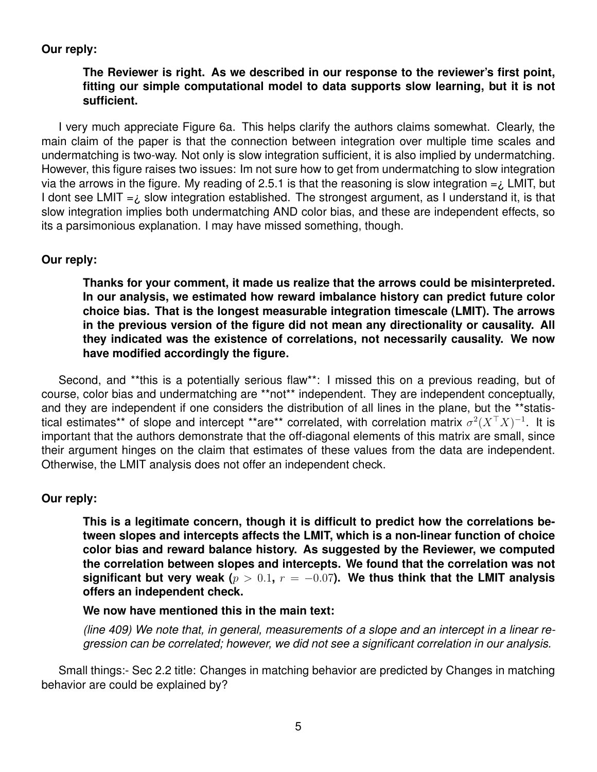## **Our reply:**

# **The Reviewer is right. As we described in our response to the reviewer's first point, fitting our simple computational model to data supports slow learning, but it is not sufficient.**

I very much appreciate Figure 6a. This helps clarify the authors claims somewhat. Clearly, the main claim of the paper is that the connection between integration over multiple time scales and undermatching is two-way. Not only is slow integration sufficient, it is also implied by undermatching. However, this figure raises two issues: Im not sure how to get from undermatching to slow integration via the arrows in the figure. My reading of 2.5.1 is that the reasoning is slow integration  $=$   $\angle$  LMIT, but I dont see LMIT  $=$  i slow integration established. The strongest argument, as I understand it, is that slow integration implies both undermatching AND color bias, and these are independent effects, so its a parsimonious explanation. I may have missed something, though.

#### **Our reply:**

**Thanks for your comment, it made us realize that the arrows could be misinterpreted. In our analysis, we estimated how reward imbalance history can predict future color choice bias. That is the longest measurable integration timescale (LMIT). The arrows in the previous version of the figure did not mean any directionality or causality. All they indicated was the existence of correlations, not necessarily causality. We now have modified accordingly the figure.**

Second, and \*\*this is a potentially serious flaw\*\*: I missed this on a previous reading, but of course, color bias and undermatching are \*\*not\*\* independent. They are independent conceptually, and they are independent if one considers the distribution of all lines in the plane, but the \*\*statistical estimates\*\* of slope and intercept \*\*are\*\* correlated, with correlation matrix  $\sigma^2 (X^\top X)^{-1}$ . It is important that the authors demonstrate that the off-diagonal elements of this matrix are small, since their argument hinges on the claim that estimates of these values from the data are independent. Otherwise, the LMIT analysis does not offer an independent check.

#### **Our reply:**

**This is a legitimate concern, though it is difficult to predict how the correlations between slopes and intercepts affects the LMIT, which is a non-linear function of choice color bias and reward balance history. As suggested by the Reviewer, we computed the correlation between slopes and intercepts. We found that the correlation was not** significant but very weak  $(p > 0.1, r = -0.07)$ . We thus think that the LMIT analysis **offers an independent check.**

#### **We now have mentioned this in the main text:**

*(line 409) We note that, in general, measurements of a slope and an intercept in a linear regression can be correlated; however, we did not see a significant correlation in our analysis.*

Small things:- Sec 2.2 title: Changes in matching behavior are predicted by Changes in matching behavior are could be explained by?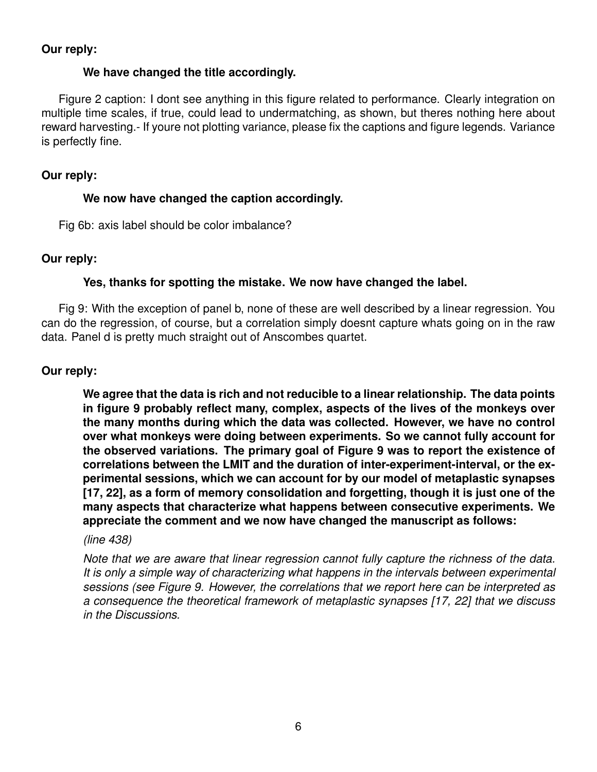#### **Our reply:**

#### **We have changed the title accordingly.**

Figure 2 caption: I dont see anything in this figure related to performance. Clearly integration on multiple time scales, if true, could lead to undermatching, as shown, but theres nothing here about reward harvesting.- If youre not plotting variance, please fix the captions and figure legends. Variance is perfectly fine.

## **Our reply:**

## **We now have changed the caption accordingly.**

Fig 6b: axis label should be color imbalance?

## **Our reply:**

# **Yes, thanks for spotting the mistake. We now have changed the label.**

Fig 9: With the exception of panel b, none of these are well described by a linear regression. You can do the regression, of course, but a correlation simply doesnt capture whats going on in the raw data. Panel d is pretty much straight out of Anscombes quartet.

## **Our reply:**

**We agree that the data is rich and not reducible to a linear relationship. The data points in figure 9 probably reflect many, complex, aspects of the lives of the monkeys over the many months during which the data was collected. However, we have no control over what monkeys were doing between experiments. So we cannot fully account for the observed variations. The primary goal of Figure 9 was to report the existence of correlations between the LMIT and the duration of inter-experiment-interval, or the experimental sessions, which we can account for by our model of metaplastic synapses [17, 22], as a form of memory consolidation and forgetting, though it is just one of the many aspects that characterize what happens between consecutive experiments. We appreciate the comment and we now have changed the manuscript as follows:**

#### *(line 438)*

*Note that we are aware that linear regression cannot fully capture the richness of the data. It is only a simple way of characterizing what happens in the intervals between experimental sessions (see Figure 9. However, the correlations that we report here can be interpreted as a consequence the theoretical framework of metaplastic synapses [17, 22] that we discuss in the Discussions.*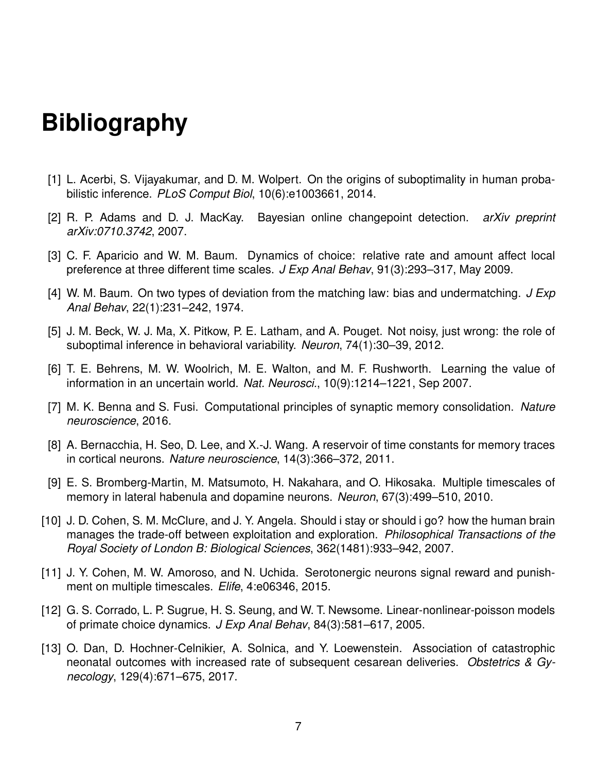# **Bibliography**

- [1] L. Acerbi, S. Vijayakumar, and D. M. Wolpert. On the origins of suboptimality in human probabilistic inference. *PLoS Comput Biol*, 10(6):e1003661, 2014.
- [2] R. P. Adams and D. J. MacKay. Bayesian online changepoint detection. *arXiv preprint arXiv:0710.3742*, 2007.
- [3] C. F. Aparicio and W. M. Baum. Dynamics of choice: relative rate and amount affect local preference at three different time scales. *J Exp Anal Behav*, 91(3):293–317, May 2009.
- [4] W. M. Baum. On two types of deviation from the matching law: bias and undermatching. *J Exp Anal Behav*, 22(1):231–242, 1974.
- [5] J. M. Beck, W. J. Ma, X. Pitkow, P. E. Latham, and A. Pouget. Not noisy, just wrong: the role of suboptimal inference in behavioral variability. *Neuron*, 74(1):30–39, 2012.
- [6] T. E. Behrens, M. W. Woolrich, M. E. Walton, and M. F. Rushworth. Learning the value of information in an uncertain world. *Nat. Neurosci.*, 10(9):1214–1221, Sep 2007.
- [7] M. K. Benna and S. Fusi. Computational principles of synaptic memory consolidation. *Nature neuroscience*, 2016.
- [8] A. Bernacchia, H. Seo, D. Lee, and X.-J. Wang. A reservoir of time constants for memory traces in cortical neurons. *Nature neuroscience*, 14(3):366–372, 2011.
- [9] E. S. Bromberg-Martin, M. Matsumoto, H. Nakahara, and O. Hikosaka. Multiple timescales of memory in lateral habenula and dopamine neurons. *Neuron*, 67(3):499–510, 2010.
- [10] J. D. Cohen, S. M. McClure, and J. Y. Angela. Should i stay or should i go? how the human brain manages the trade-off between exploitation and exploration. *Philosophical Transactions of the Royal Society of London B: Biological Sciences*, 362(1481):933–942, 2007.
- [11] J. Y. Cohen, M. W. Amoroso, and N. Uchida. Serotonergic neurons signal reward and punishment on multiple timescales. *Elife*, 4:e06346, 2015.
- [12] G. S. Corrado, L. P. Sugrue, H. S. Seung, and W. T. Newsome. Linear-nonlinear-poisson models of primate choice dynamics. *J Exp Anal Behav*, 84(3):581–617, 2005.
- [13] O. Dan, D. Hochner-Celnikier, A. Solnica, and Y. Loewenstein. Association of catastrophic neonatal outcomes with increased rate of subsequent cesarean deliveries. *Obstetrics & Gynecology*, 129(4):671–675, 2017.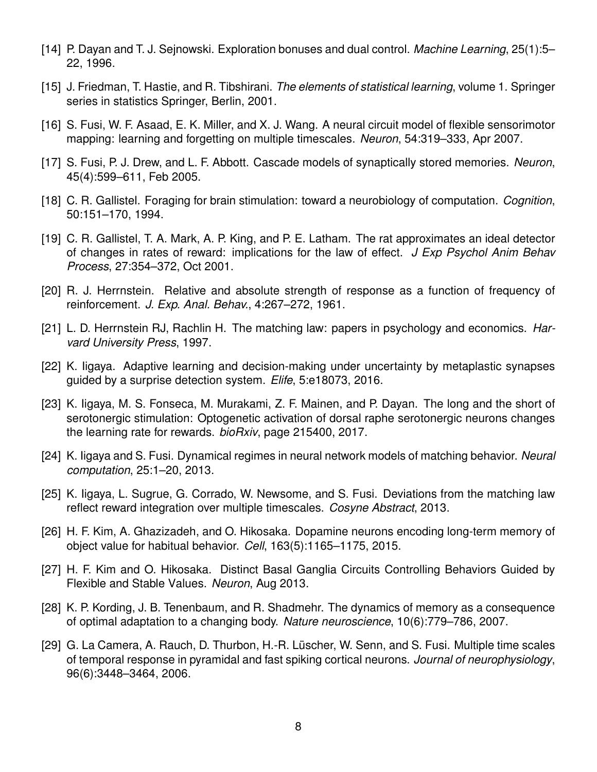- [14] P. Dayan and T. J. Sejnowski. Exploration bonuses and dual control. *Machine Learning*, 25(1):5– 22, 1996.
- [15] J. Friedman, T. Hastie, and R. Tibshirani. *The elements of statistical learning*, volume 1. Springer series in statistics Springer, Berlin, 2001.
- [16] S. Fusi, W. F. Asaad, E. K. Miller, and X. J. Wang. A neural circuit model of flexible sensorimotor mapping: learning and forgetting on multiple timescales. *Neuron*, 54:319–333, Apr 2007.
- [17] S. Fusi, P. J. Drew, and L. F. Abbott. Cascade models of synaptically stored memories. *Neuron*, 45(4):599–611, Feb 2005.
- [18] C. R. Gallistel. Foraging for brain stimulation: toward a neurobiology of computation. *Cognition*, 50:151–170, 1994.
- [19] C. R. Gallistel, T. A. Mark, A. P. King, and P. E. Latham. The rat approximates an ideal detector of changes in rates of reward: implications for the law of effect. *J Exp Psychol Anim Behav Process*, 27:354–372, Oct 2001.
- [20] R. J. Herrnstein. Relative and absolute strength of response as a function of frequency of reinforcement. *J. Exp. Anal. Behav.*, 4:267–272, 1961.
- [21] L. D. Herrnstein RJ, Rachlin H. The matching law: papers in psychology and economics. *Harvard University Press*, 1997.
- [22] K. Iigaya. Adaptive learning and decision-making under uncertainty by metaplastic synapses guided by a surprise detection system. *Elife*, 5:e18073, 2016.
- [23] K. Iigaya, M. S. Fonseca, M. Murakami, Z. F. Mainen, and P. Dayan. The long and the short of serotonergic stimulation: Optogenetic activation of dorsal raphe serotonergic neurons changes the learning rate for rewards. *bioRxiv*, page 215400, 2017.
- [24] K. Iigaya and S. Fusi. Dynamical regimes in neural network models of matching behavior. *Neural computation*, 25:1–20, 2013.
- [25] K. Iigaya, L. Sugrue, G. Corrado, W. Newsome, and S. Fusi. Deviations from the matching law reflect reward integration over multiple timescales. *Cosyne Abstract*, 2013.
- [26] H. F. Kim, A. Ghazizadeh, and O. Hikosaka. Dopamine neurons encoding long-term memory of object value for habitual behavior. *Cell*, 163(5):1165–1175, 2015.
- [27] H. F. Kim and O. Hikosaka. Distinct Basal Ganglia Circuits Controlling Behaviors Guided by Flexible and Stable Values. *Neuron*, Aug 2013.
- [28] K. P. Kording, J. B. Tenenbaum, and R. Shadmehr. The dynamics of memory as a consequence of optimal adaptation to a changing body. *Nature neuroscience*, 10(6):779–786, 2007.
- [29] G. La Camera, A. Rauch, D. Thurbon, H.-R. Lüscher, W. Senn, and S. Fusi. Multiple time scales of temporal response in pyramidal and fast spiking cortical neurons. *Journal of neurophysiology*, 96(6):3448–3464, 2006.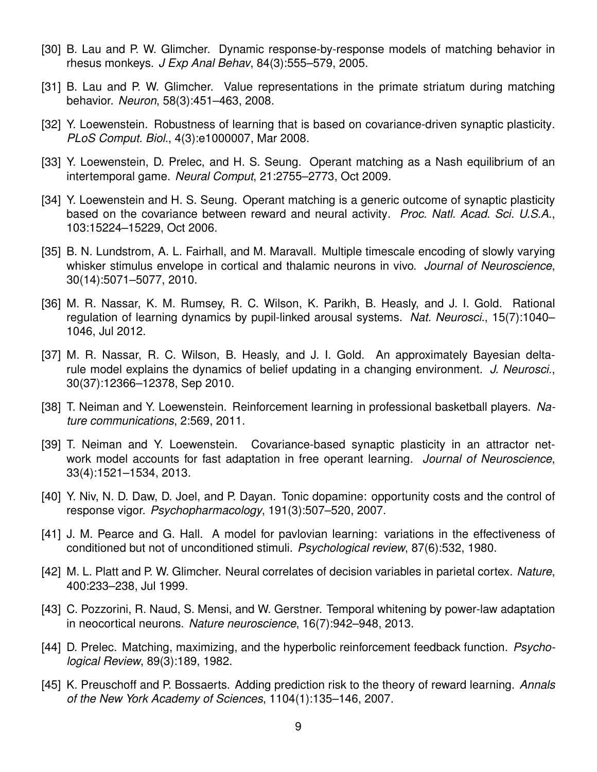- [30] B. Lau and P. W. Glimcher. Dynamic response-by-response models of matching behavior in rhesus monkeys. *J Exp Anal Behav*, 84(3):555–579, 2005.
- [31] B. Lau and P. W. Glimcher. Value representations in the primate striatum during matching behavior. *Neuron*, 58(3):451–463, 2008.
- [32] Y. Loewenstein. Robustness of learning that is based on covariance-driven synaptic plasticity. *PLoS Comput. Biol.*, 4(3):e1000007, Mar 2008.
- [33] Y. Loewenstein, D. Prelec, and H. S. Seung. Operant matching as a Nash equilibrium of an intertemporal game. *Neural Comput*, 21:2755–2773, Oct 2009.
- [34] Y. Loewenstein and H. S. Seung. Operant matching is a generic outcome of synaptic plasticity based on the covariance between reward and neural activity. *Proc. Natl. Acad. Sci. U.S.A.*, 103:15224–15229, Oct 2006.
- [35] B. N. Lundstrom, A. L. Fairhall, and M. Maravall. Multiple timescale encoding of slowly varying whisker stimulus envelope in cortical and thalamic neurons in vivo. *Journal of Neuroscience*, 30(14):5071–5077, 2010.
- [36] M. R. Nassar, K. M. Rumsey, R. C. Wilson, K. Parikh, B. Heasly, and J. I. Gold. Rational regulation of learning dynamics by pupil-linked arousal systems. *Nat. Neurosci.*, 15(7):1040– 1046, Jul 2012.
- [37] M. R. Nassar, R. C. Wilson, B. Heasly, and J. I. Gold. An approximately Bayesian deltarule model explains the dynamics of belief updating in a changing environment. *J. Neurosci.*, 30(37):12366–12378, Sep 2010.
- [38] T. Neiman and Y. Loewenstein. Reinforcement learning in professional basketball players. *Nature communications*, 2:569, 2011.
- [39] T. Neiman and Y. Loewenstein. Covariance-based synaptic plasticity in an attractor network model accounts for fast adaptation in free operant learning. *Journal of Neuroscience*, 33(4):1521–1534, 2013.
- [40] Y. Niv, N. D. Daw, D. Joel, and P. Dayan. Tonic dopamine: opportunity costs and the control of response vigor. *Psychopharmacology*, 191(3):507–520, 2007.
- [41] J. M. Pearce and G. Hall. A model for pavlovian learning: variations in the effectiveness of conditioned but not of unconditioned stimuli. *Psychological review*, 87(6):532, 1980.
- [42] M. L. Platt and P. W. Glimcher. Neural correlates of decision variables in parietal cortex. *Nature*, 400:233–238, Jul 1999.
- [43] C. Pozzorini, R. Naud, S. Mensi, and W. Gerstner. Temporal whitening by power-law adaptation in neocortical neurons. *Nature neuroscience*, 16(7):942–948, 2013.
- [44] D. Prelec. Matching, maximizing, and the hyperbolic reinforcement feedback function. *Psychological Review*, 89(3):189, 1982.
- [45] K. Preuschoff and P. Bossaerts. Adding prediction risk to the theory of reward learning. *Annals of the New York Academy of Sciences*, 1104(1):135–146, 2007.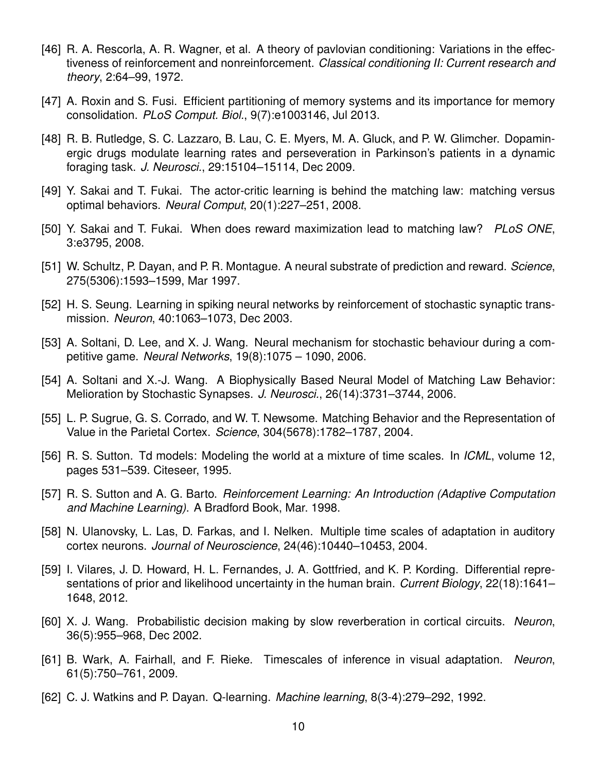- [46] R. A. Rescorla, A. R. Wagner, et al. A theory of pavlovian conditioning: Variations in the effectiveness of reinforcement and nonreinforcement. *Classical conditioning II: Current research and theory*, 2:64–99, 1972.
- [47] A. Roxin and S. Fusi. Efficient partitioning of memory systems and its importance for memory consolidation. *PLoS Comput. Biol.*, 9(7):e1003146, Jul 2013.
- [48] R. B. Rutledge, S. C. Lazzaro, B. Lau, C. E. Myers, M. A. Gluck, and P. W. Glimcher. Dopaminergic drugs modulate learning rates and perseveration in Parkinson's patients in a dynamic foraging task. *J. Neurosci.*, 29:15104–15114, Dec 2009.
- [49] Y. Sakai and T. Fukai. The actor-critic learning is behind the matching law: matching versus optimal behaviors. *Neural Comput*, 20(1):227–251, 2008.
- [50] Y. Sakai and T. Fukai. When does reward maximization lead to matching law? *PLoS ONE*, 3:e3795, 2008.
- [51] W. Schultz, P. Dayan, and P. R. Montague. A neural substrate of prediction and reward. *Science*, 275(5306):1593–1599, Mar 1997.
- [52] H. S. Seung. Learning in spiking neural networks by reinforcement of stochastic synaptic transmission. *Neuron*, 40:1063–1073, Dec 2003.
- [53] A. Soltani, D. Lee, and X. J. Wang. Neural mechanism for stochastic behaviour during a competitive game. *Neural Networks*, 19(8):1075 – 1090, 2006.
- [54] A. Soltani and X.-J. Wang. A Biophysically Based Neural Model of Matching Law Behavior: Melioration by Stochastic Synapses. *J. Neurosci.*, 26(14):3731–3744, 2006.
- [55] L. P. Sugrue, G. S. Corrado, and W. T. Newsome. Matching Behavior and the Representation of Value in the Parietal Cortex. *Science*, 304(5678):1782–1787, 2004.
- [56] R. S. Sutton. Td models: Modeling the world at a mixture of time scales. In *ICML*, volume 12, pages 531–539. Citeseer, 1995.
- [57] R. S. Sutton and A. G. Barto. *Reinforcement Learning: An Introduction (Adaptive Computation and Machine Learning)*. A Bradford Book, Mar. 1998.
- [58] N. Ulanovsky, L. Las, D. Farkas, and I. Nelken. Multiple time scales of adaptation in auditory cortex neurons. *Journal of Neuroscience*, 24(46):10440–10453, 2004.
- [59] I. Vilares, J. D. Howard, H. L. Fernandes, J. A. Gottfried, and K. P. Kording. Differential representations of prior and likelihood uncertainty in the human brain. *Current Biology*, 22(18):1641– 1648, 2012.
- [60] X. J. Wang. Probabilistic decision making by slow reverberation in cortical circuits. *Neuron*, 36(5):955–968, Dec 2002.
- [61] B. Wark, A. Fairhall, and F. Rieke. Timescales of inference in visual adaptation. *Neuron*, 61(5):750–761, 2009.
- [62] C. J. Watkins and P. Dayan. Q-learning. *Machine learning*, 8(3-4):279–292, 1992.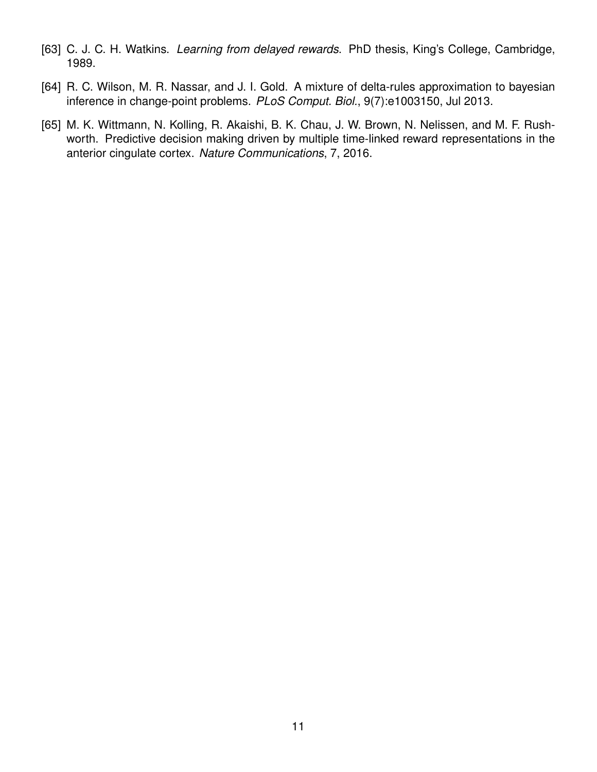- [63] C. J. C. H. Watkins. *Learning from delayed rewards*. PhD thesis, King's College, Cambridge, 1989.
- [64] R. C. Wilson, M. R. Nassar, and J. I. Gold. A mixture of delta-rules approximation to bayesian inference in change-point problems. *PLoS Comput. Biol.*, 9(7):e1003150, Jul 2013.
- [65] M. K. Wittmann, N. Kolling, R. Akaishi, B. K. Chau, J. W. Brown, N. Nelissen, and M. F. Rushworth. Predictive decision making driven by multiple time-linked reward representations in the anterior cingulate cortex. *Nature Communications*, 7, 2016.